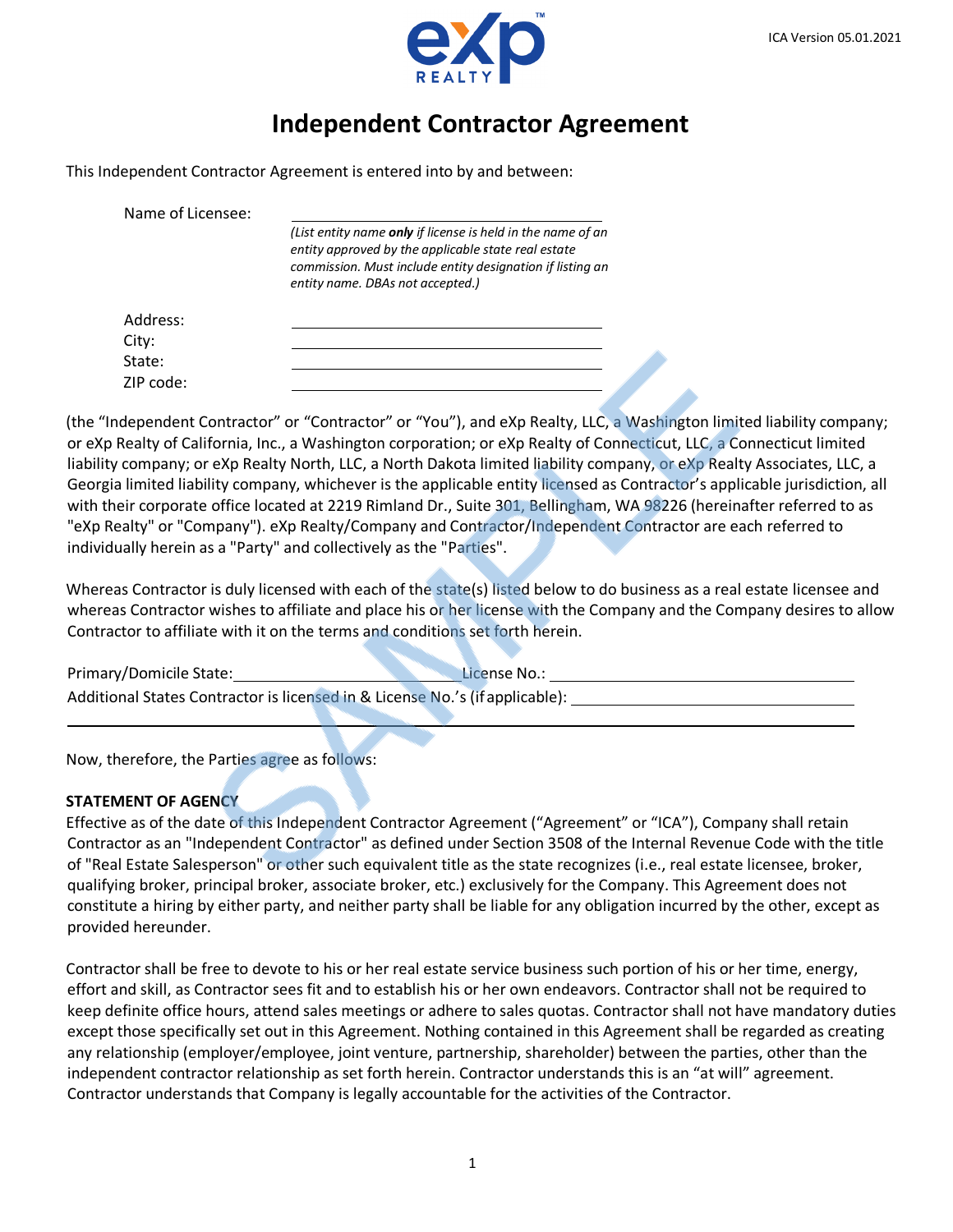



# **Independent Contractor Agreement**

This Independent Contractor Agreement is entered into by and between:

Name of Licensee: *(List entity name only if license is held in the name of an entity approved by the applicable state real estate commission. Must include entity designation if listing an entity name. DBAs not accepted.)* Address: City: State:

(the "Independent Contractor" or "Contractor" or "You"), and eXp Realty, LLC, a Washington limited liability company; or eXp Realty of California, Inc., a Washington corporation; or eXp Realty of Connecticut, LLC, a Connecticut limited liability company; or eXp Realty North, LLC, a North Dakota limited liability company, or eXp Realty Associates, LLC, a Georgia limited liability company, whichever is the applicable entity licensed as Contractor's applicable jurisdiction, all with their corporate office located at 2219 Rimland Dr., Suite 301, Bellingham, WA 98226 (hereinafter referred to as "eXp Realty" or "Company"). eXp Realty/Company and Contractor/Independent Contractor are each referred to individually herein as a "Party" and collectively as the "Parties".

Whereas Contractor is duly licensed with each of the state(s) listed below to do business as a real estate licensee and whereas Contractor wishes to affiliate and place his or her license with the Company and the Company desires to allow Contractor to affiliate with it on the terms and conditions set forth herein.

| Primary/Domicile State:                                                      | License No.: |  |  |  |  |  |
|------------------------------------------------------------------------------|--------------|--|--|--|--|--|
| Additional States Contractor is licensed in & License No.'s (if applicable): |              |  |  |  |  |  |

Now, therefore, the Parties agree as follows:

### **STATEMENT OF AGENCY**

ZIP code:

Effective as of the date of this Independent Contractor Agreement ("Agreement" or "ICA"), Company shall retain Contractor as an "Independent Contractor" as defined under Section 3508 of the Internal Revenue Code with the title of "Real Estate Salesperson" or other such equivalent title as the state recognizes (i.e., real estate licensee, broker, qualifying broker, principal broker, associate broker, etc.) exclusively for the Company. This Agreement does not constitute a hiring by either party, and neither party shall be liable for any obligation incurred by the other, except as provided hereunder.

Contractor shall be free to devote to his or her real estate service business such portion of his or her time, energy, effort and skill, as Contractor sees fit and to establish his or her own endeavors. Contractor shall not be required to keep definite office hours, attend sales meetings or adhere to sales quotas. Contractor shall not have mandatory duties except those specifically set out in this Agreement. Nothing contained in this Agreement shall be regarded as creating any relationship (employer/employee, joint venture, partnership, shareholder) between the parties, other than the independent contractor relationship as set forth herein. Contractor understands this is an "at will" agreement. Contractor understands that Company is legally accountable for the activities of the Contractor.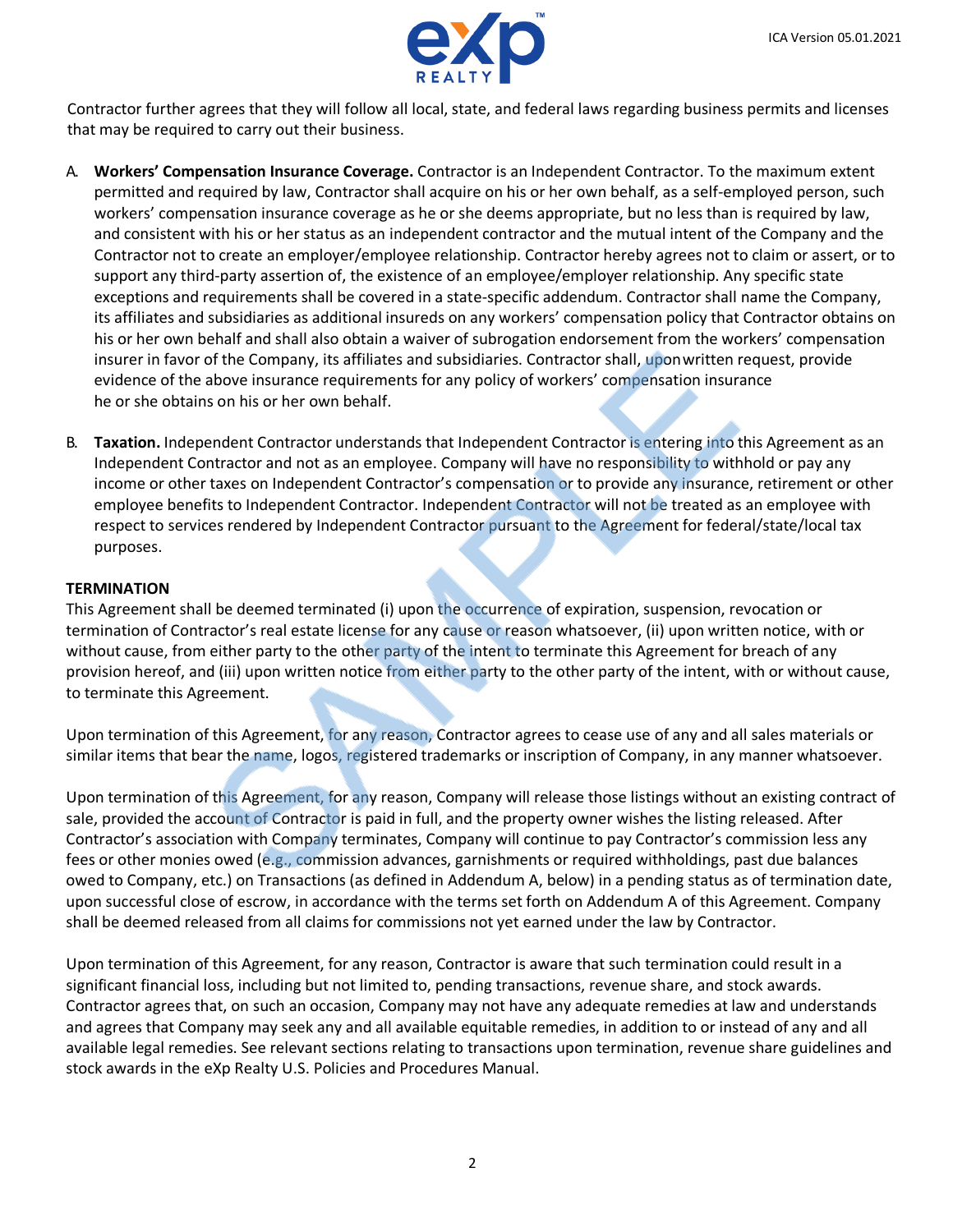

Contractor further agrees that they will follow all local, state, and federal laws regarding business permits and licenses that may be required to carry out their business.

- A. **Workers' Compensation Insurance Coverage.** Contractor is an Independent Contractor. To the maximum extent permitted and required by law, Contractor shall acquire on his or her own behalf, as a self-employed person, such workers' compensation insurance coverage as he or she deems appropriate, but no less than is required by law, and consistent with his or her status as an independent contractor and the mutual intent of the Company and the Contractor not to create an employer/employee relationship. Contractor hereby agrees not to claim or assert, or to support any third-party assertion of, the existence of an employee/employer relationship. Any specific state exceptions and requirements shall be covered in a state-specific addendum. Contractor shall name the Company, its affiliates and subsidiaries as additional insureds on any workers' compensation policy that Contractor obtains on his or her own behalf and shall also obtain a waiver of subrogation endorsement from the workers' compensation insurer in favor of the Company, its affiliates and subsidiaries. Contractor shall, uponwritten request, provide evidence of the above insurance requirements for any policy of workers' compensation insurance he or she obtains on his or her own behalf.
- B. **Taxation.** Independent Contractor understands that Independent Contractor is entering into this Agreement as an Independent Contractor and not as an employee. Company will have no responsibility to withhold or pay any income or other taxes on Independent Contractor's compensation or to provide any insurance, retirement or other employee benefits to Independent Contractor. Independent Contractor will not be treated as an employee with respect to services rendered by Independent Contractor pursuant to the Agreement for federal/state/local tax purposes.

### **TERMINATION**

This Agreement shall be deemed terminated (i) upon the occurrence of expiration, suspension, revocation or termination of Contractor's real estate license for any cause or reason whatsoever, (ii) upon written notice, with or without cause, from either party to the other party of the intent to terminate this Agreement for breach of any provision hereof, and (iii) upon written notice from either party to the other party of the intent, with or without cause, to terminate this Agreement.

Upon termination of this Agreement, for any reason, Contractor agrees to cease use of any and all sales materials or similar items that bear the name, logos, registered trademarks or inscription of Company, in any manner whatsoever.

Upon termination of this Agreement, for any reason, Company will release those listings without an existing contract of sale, provided the account of Contractor is paid in full, and the property owner wishes the listing released. After Contractor's association with Company terminates, Company will continue to pay Contractor's commission less any fees or other monies owed (e.g., commission advances, garnishments or required withholdings, past due balances owed to Company, etc.) on Transactions (as defined in Addendum A, below) in a pending status as of termination date, upon successful close of escrow, in accordance with the terms set forth on Addendum A of this Agreement. Company shall be deemed released from all claims for commissions not yet earned under the law by Contractor.

Upon termination of this Agreement, for any reason, Contractor is aware that such termination could result in a significant financial loss, including but not limited to, pending transactions, revenue share, and stock awards. Contractor agrees that, on such an occasion, Company may not have any adequate remedies at law and understands and agrees that Company may seek any and all available equitable remedies, in addition to or instead of any and all available legal remedies. See relevant sections relating to transactions upon termination, revenue share guidelines and stock awards in the eXp Realty U.S. Policies and Procedures Manual.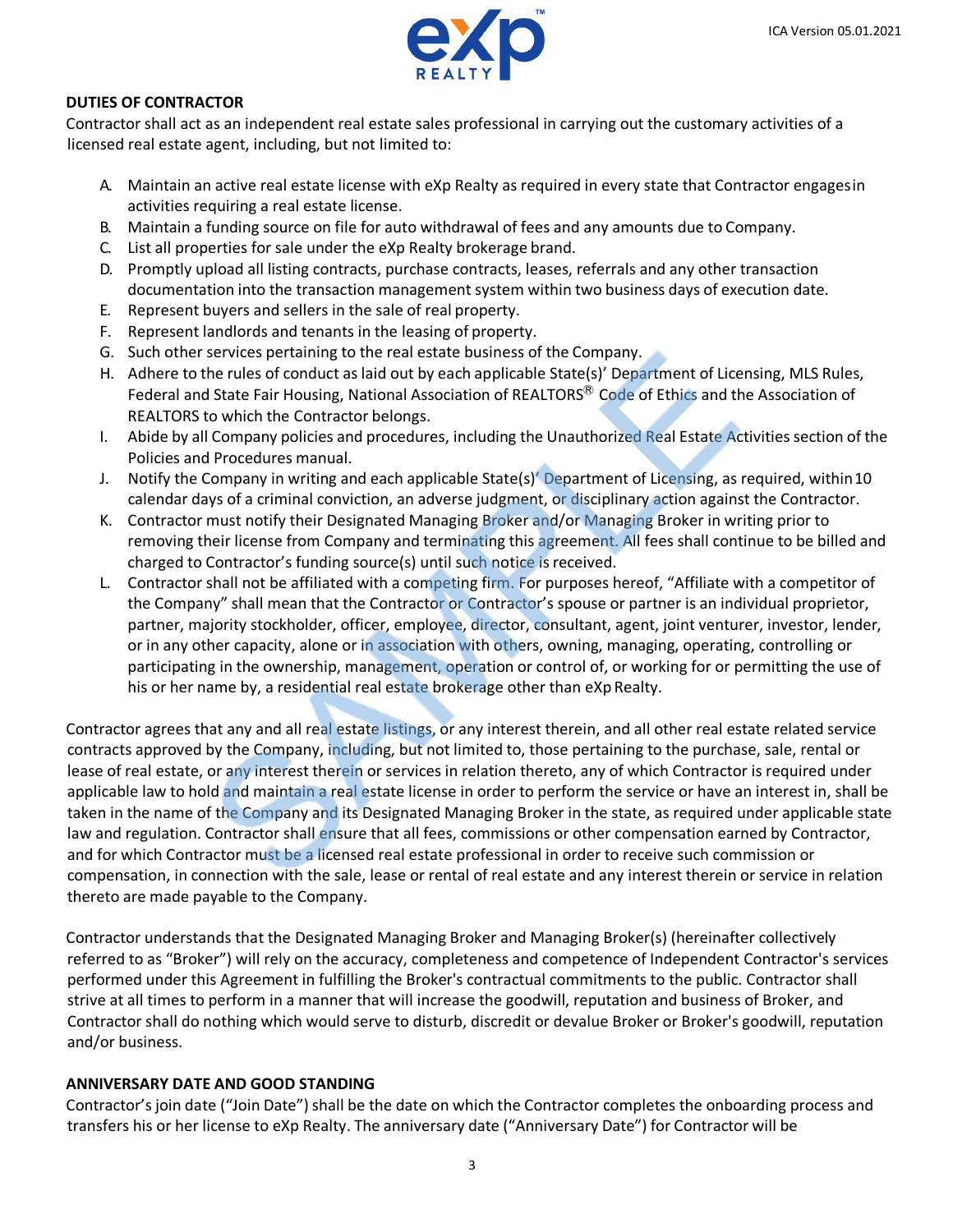

### **DUTIES OF CONTRACTOR**

Contractor shall act as an independent real estate sales professional in carrying out the customary activities of a licensed real estate agent, including, but not limited to:

- A. Maintain an active real estate license with eXp Realty as required in every state that Contractor engagesin activities requiring a real estate license.
- B. Maintain a funding source on file for auto withdrawal of fees and any amounts due to Company.
- C. List all properties for sale under the eXp Realty brokerage brand.
- D. Promptly upload all listing contracts, purchase contracts, leases, referrals and any other transaction documentation into the transaction management system within two business days of execution date.
- E. Represent buyers and sellers in the sale of real property.
- F. Represent landlords and tenants in the leasing of property.
- G. Such other services pertaining to the real estate business of the Company.
- H. Adhere to the rules of conduct as laid out by each applicable State(s)' Department of Licensing, MLS Rules, Federal and State Fair Housing, National Association of REALTORS<sup>®</sup> Code of Ethics and the Association of REALTORS to which the Contractor belongs.
- I. Abide by all Company policies and procedures, including the Unauthorized Real Estate Activities section of the Policies and Procedures manual.
- J. Notify the Company in writing and each applicable State(s)' Department of Licensing, as required, within 10 calendar days of a criminal conviction, an adverse judgment, or disciplinary action against the Contractor.
- K. Contractor must notify their Designated Managing Broker and/or Managing Broker in writing prior to removing their license from Company and terminating this agreement. All fees shall continue to be billed and charged to Contractor's funding source(s) until such notice is received.
- L. Contractor shall not be affiliated with a competing firm. For purposes hereof, "Affiliate with a competitor of the Company" shall mean that the Contractor or Contractor's spouse or partner is an individual proprietor, partner, majority stockholder, officer, employee, director, consultant, agent, joint venturer, investor, lender, or in any other capacity, alone or in association with others, owning, managing, operating, controlling or participating in the ownership, management, operation or control of, or working for or permitting the use of his or her name by, a residential real estate brokerage other than eXp Realty.

Contractor agrees that any and all real estate listings, or any interest therein, and all other real estate related service contracts approved by the Company, including, but not limited to, those pertaining to the purchase, sale, rental or lease of real estate, or any interest therein or services in relation thereto, any of which Contractor is required under applicable law to hold and maintain a real estate license in order to perform the service or have an interest in, shall be taken in the name of the Company and its Designated Managing Broker in the state, as required under applicable state law and regulation. Contractor shall ensure that all fees, commissions or other compensation earned by Contractor, and for which Contractor must be a licensed real estate professional in order to receive such commission or compensation, in connection with the sale, lease or rental of real estate and any interest therein or service in relation thereto are made payable to the Company.

Contractor understands that the Designated Managing Broker and Managing Broker(s) (hereinafter collectively referred to as "Broker") will rely on the accuracy, completeness and competence of Independent Contractor's services performed under this Agreement in fulfilling the Broker's contractual commitments to the public. Contractor shall strive at all times to perform in a manner that will increase the goodwill, reputation and business of Broker, and Contractor shall do nothing which would serve to disturb, discredit or devalue Broker or Broker's goodwill, reputation and/or business.

### **ANNIVERSARY DATE AND GOOD STANDING**

Contractor's join date ("Join Date") shall be the date on which the Contractor completes the onboarding process and transfers his or her license to eXp Realty. The anniversary date ("Anniversary Date") for Contractor will be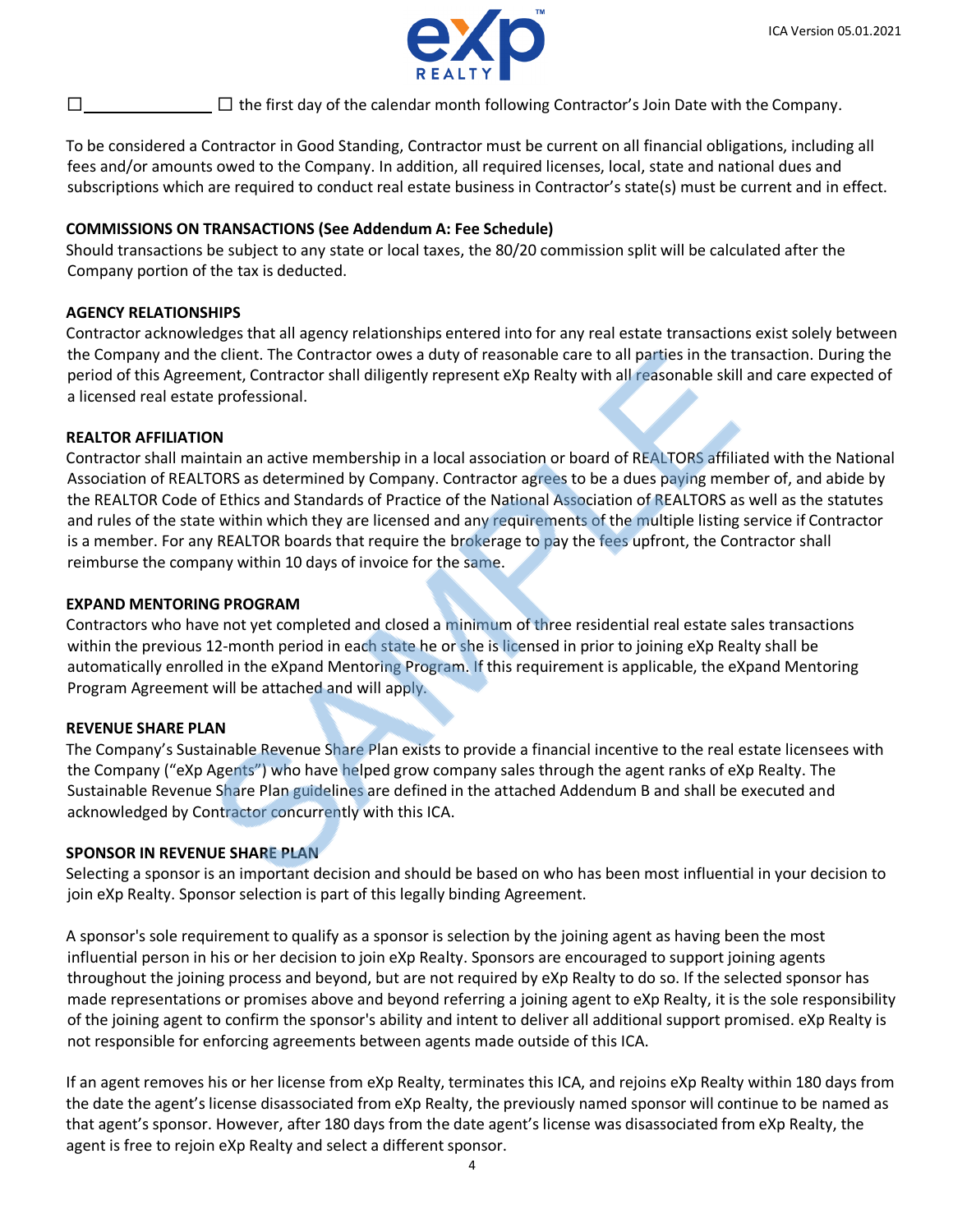

 $\Box$  the first day of the calendar month following Contractor's Join Date with the Company.

To be considered a Contractor in Good Standing, Contractor must be current on all financial obligations, including all fees and/or amounts owed to the Company. In addition, all required licenses, local, state and national dues and subscriptions which are required to conduct real estate business in Contractor's state(s) must be current and in effect.

### **COMMISSIONS ON TRANSACTIONS (See Addendum A: Fee Schedule)**

Should transactions be subject to any state or local taxes, the 80/20 commission split will be calculated after the Company portion of the tax is deducted.

### **AGENCY RELATIONSHIPS**

Contractor acknowledges that all agency relationships entered into for any real estate transactions exist solely between the Company and the client. The Contractor owes a duty of reasonable care to all parties in the transaction. During the period of this Agreement, Contractor shall diligently represent eXp Realty with all reasonable skill and care expected of a licensed real estate professional.

## **REALTOR AFFILIATION**

Contractor shall maintain an active membership in a local association or board of REALTORS affiliated with the National Association of REALTORS as determined by Company. Contractor agrees to be a dues paying member of, and abide by the REALTOR Code of Ethics and Standards of Practice of the National Association of REALTORS as well as the statutes and rules of the state within which they are licensed and any requirements of the multiple listing service if Contractor is a member. For any REALTOR boards that require the brokerage to pay the fees upfront, the Contractor shall reimburse the company within 10 days of invoice for the same.

### **EXPAND MENTORING PROGRAM**

Contractors who have not yet completed and closed a minimum of three residential real estate sales transactions within the previous 12-month period in each state he or she is licensed in prior to joining eXp Realty shall be automatically enrolled in the eXpand Mentoring Program. If this requirement is applicable, the eXpand Mentoring Program Agreement will be attached and will apply.

### **REVENUE SHARE PLAN**

The Company's Sustainable Revenue Share Plan exists to provide a financial incentive to the real estate licensees with the Company ("eXp Agents") who have helped grow company sales through the agent ranks of eXp Realty. The Sustainable Revenue Share Plan guidelines are defined in the attached Addendum B and shall be executed and acknowledged by Contractor concurrently with this ICA.

### **SPONSOR IN REVENUE SHARE PLAN**

Selecting a sponsor is an important decision and should be based on who has been most influential in your decision to join eXp Realty. Sponsor selection is part of this legally binding Agreement.

A sponsor's sole requirement to qualify as a sponsor is selection by the joining agent as having been the most influential person in his or her decision to join eXp Realty. Sponsors are encouraged to support joining agents throughout the joining process and beyond, but are not required by eXp Realty to do so. If the selected sponsor has made representations or promises above and beyond referring a joining agent to eXp Realty, it is the sole responsibility of the joining agent to confirm the sponsor's ability and intent to deliver all additional support promised. eXp Realty is not responsible for enforcing agreements between agents made outside of this ICA.

If an agent removes his or her license from eXp Realty, terminates this ICA, and rejoins eXp Realty within 180 days from the date the agent's license disassociated from eXp Realty, the previously named sponsor will continue to be named as that agent's sponsor. However, after 180 days from the date agent's license was disassociated from eXp Realty, the agent is free to rejoin eXp Realty and select a different sponsor.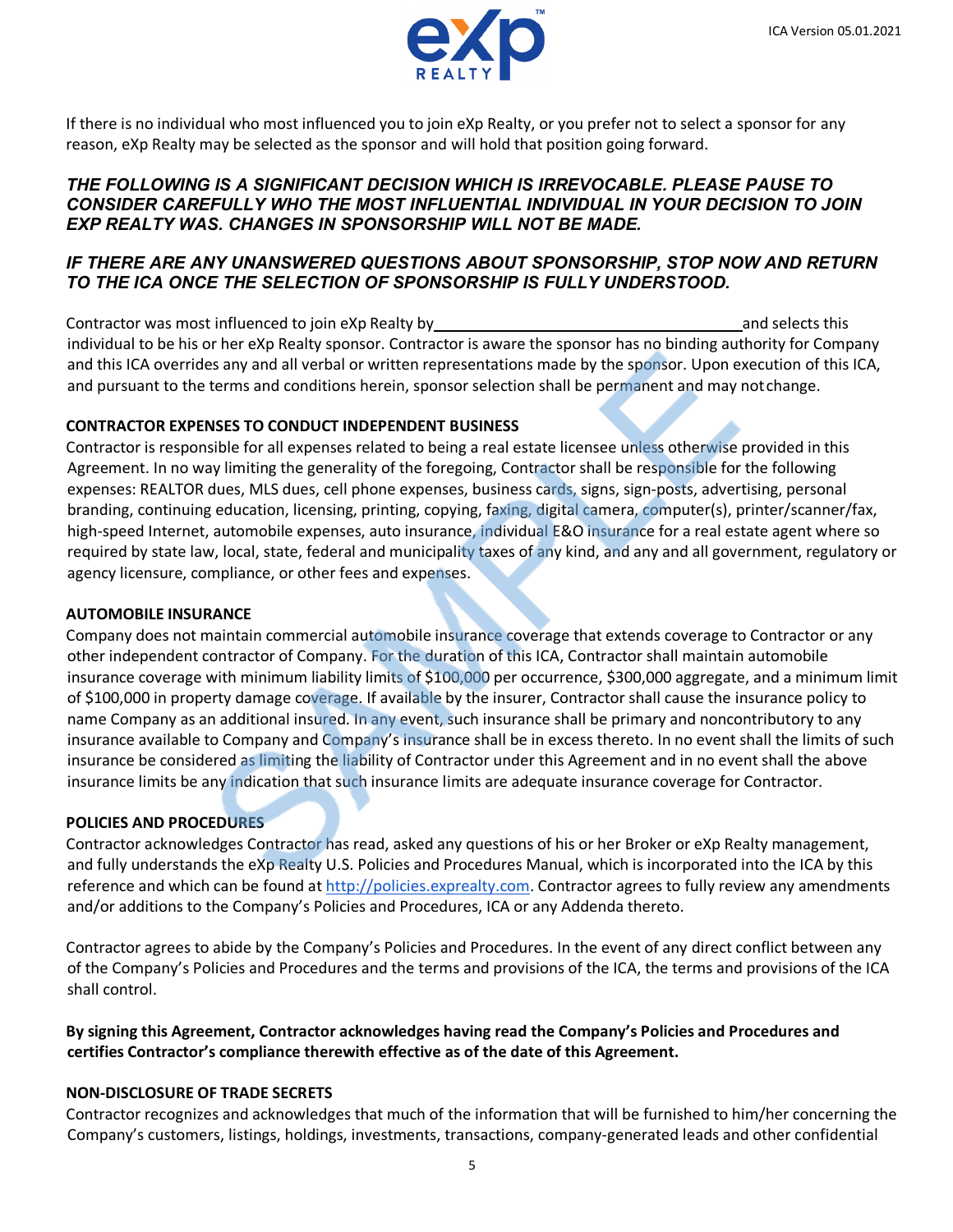

If there is no individual who most influenced you to join eXp Realty, or you prefer not to select a sponsor for any reason, eXp Realty may be selected as the sponsor and will hold that position going forward.

### *THE FOLLOWING IS A SIGNIFICANT DECISION WHICH IS IRREVOCABLE. PLEASE PAUSE TO CONSIDER CAREFULLY WHO THE MOST INFLUENTIAL INDIVIDUAL IN YOUR DECISION TO JOIN EXP REALTY WAS. CHANGES IN SPONSORSHIP WILL NOT BE MADE.*

## *IF THERE ARE ANY UNANSWERED QUESTIONS ABOUT SPONSORSHIP, STOP NOW AND RETURN TO THE ICA ONCE THE SELECTION OF SPONSORSHIP IS FULLY UNDERSTOOD.*

Contractor was most influenced to join eXp Realty by and selects this contractor was most influenced to join eXp Realty by individual to be his or her eXp Realty sponsor. Contractor is aware the sponsor has no binding authority for Company and this ICA overrides any and all verbal or written representations made by the sponsor. Upon execution of this ICA, and pursuant to the terms and conditions herein, sponsor selection shall be permanent and may notchange.

## **CONTRACTOR EXPENSES TO CONDUCT INDEPENDENT BUSINESS**

Contractor is responsible for all expenses related to being a real estate licensee unless otherwise provided in this Agreement. In no way limiting the generality of the foregoing, Contractor shall be responsible for the following expenses: REALTOR dues, MLS dues, cell phone expenses, business cards, signs, sign-posts, advertising, personal branding, continuing education, licensing, printing, copying, faxing, digital camera, computer(s), printer/scanner/fax, high-speed Internet, automobile expenses, auto insurance, individual E&O insurance for a real estate agent where so required by state law, local, state, federal and municipality taxes of any kind, and any and all government, regulatory or agency licensure, compliance, or other fees and expenses.

### **AUTOMOBILE INSURANCE**

Company does not maintain commercial automobile insurance coverage that extends coverage to Contractor or any other independent contractor of Company. For the duration of this ICA, Contractor shall maintain automobile insurance coverage with minimum liability limits of \$100,000 per occurrence, \$300,000 aggregate, and a minimum limit of \$100,000 in property damage coverage. If available by the insurer, Contractor shall cause the insurance policy to name Company as an additional insured. In any event, such insurance shall be primary and noncontributory to any insurance available to Company and Company's insurance shall be in excess thereto. In no event shall the limits of such insurance be considered as limiting the liability of Contractor under this Agreement and in no event shall the above insurance limits be any indication that such insurance limits are adequate insurance coverage for Contractor.

### **POLICIES AND PROCEDURES**

Contractor acknowledges Contractor has read, asked any questions of his or her Broker or eXp Realty management, and fully understands the eXp Realty U.S. Policies and Procedures Manual, which is incorporated into the ICA by this reference and which can be found a[t http://policies.exprealty.com.](http://policies.exprealty.com/) Contractor agrees to fully review any amendments and/or additions to the Company's Policies and Procedures, ICA or any Addenda thereto.

Contractor agrees to abide by the Company's Policies and Procedures. In the event of any direct conflict between any of the Company's Policies and Procedures and the terms and provisions of the ICA, the terms and provisions of the ICA shall control.

## **By signing this Agreement, Contractor acknowledges having read the Company's Policies and Procedures and certifies Contractor's compliance therewith effective as of the date of this Agreement.**

### **NON-DISCLOSURE OF TRADE SECRETS**

Contractor recognizes and acknowledges that much of the information that will be furnished to him/her concerning the Company's customers, listings, holdings, investments, transactions, company-generated leads and other confidential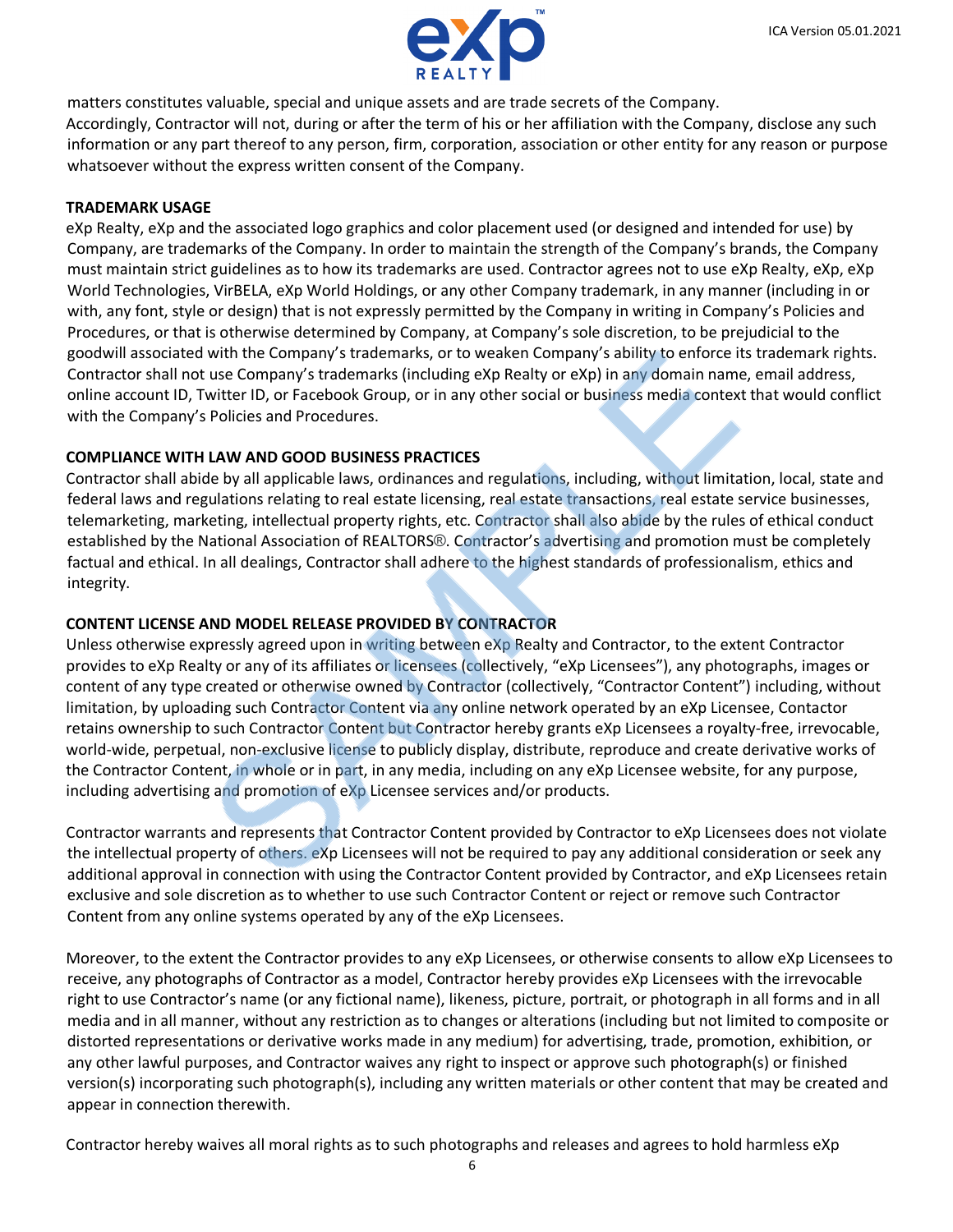

matters constitutes valuable, special and unique assets and are trade secrets of the Company.

Accordingly, Contractor will not, during or after the term of his or her affiliation with the Company, disclose any such information or any part thereof to any person, firm, corporation, association or other entity for any reason or purpose whatsoever without the express written consent of the Company.

### **TRADEMARK USAGE**

eXp Realty, eXp and the associated logo graphics and color placement used (or designed and intended for use) by Company, are trademarks of the Company. In order to maintain the strength of the Company's brands, the Company must maintain strict guidelines as to how its trademarks are used. Contractor agrees not to use eXp Realty, eXp, eXp World Technologies, VirBELA, eXp World Holdings, or any other Company trademark, in any manner (including in or with, any font, style or design) that is not expressly permitted by the Company in writing in Company's Policies and Procedures, or that is otherwise determined by Company, at Company's sole discretion, to be prejudicial to the goodwill associated with the Company's trademarks, or to weaken Company's ability to enforce its trademark rights. Contractor shall not use Company's trademarks (including eXp Realty or eXp) in any domain name, email address, online account ID, Twitter ID, or Facebook Group, or in any other social or business media context that would conflict with the Company's Policies and Procedures.

## **COMPLIANCE WITH LAW AND GOOD BUSINESS PRACTICES**

Contractor shall abide by all applicable laws, ordinances and regulations, including, without limitation, local, state and federal laws and regulations relating to real estate licensing, real estate transactions, real estate service businesses, telemarketing, marketing, intellectual property rights, etc. Contractor shall also abide by the rules of ethical conduct established by the National Association of REALTORS®. Contractor's advertising and promotion must be completely factual and ethical. In all dealings, Contractor shall adhere to the highest standards of professionalism, ethics and integrity.

## **CONTENT LICENSE AND MODEL RELEASE PROVIDED BY CONTRACTOR**

Unless otherwise expressly agreed upon in writing between eXp Realty and Contractor, to the extent Contractor provides to eXp Realty or any of its affiliates or licensees (collectively, "eXp Licensees"), any photographs, images or content of any type created or otherwise owned by Contractor (collectively, "Contractor Content") including, without limitation, by uploading such Contractor Content via any online network operated by an eXp Licensee, Contactor retains ownership to such Contractor Content but Contractor hereby grants eXp Licensees a royalty-free, irrevocable, world-wide, perpetual, non-exclusive license to publicly display, distribute, reproduce and create derivative works of the Contractor Content, in whole or in part, in any media, including on any eXp Licensee website, for any purpose, including advertising and promotion of eXp Licensee services and/or products.

Contractor warrants and represents that Contractor Content provided by Contractor to eXp Licensees does not violate the intellectual property of others. eXp Licensees will not be required to pay any additional consideration or seek any additional approval in connection with using the Contractor Content provided by Contractor, and eXp Licensees retain exclusive and sole discretion as to whether to use such Contractor Content or reject or remove such Contractor Content from any online systems operated by any of the eXp Licensees.

Moreover, to the extent the Contractor provides to any eXp Licensees, or otherwise consents to allow eXp Licensees to receive, any photographs of Contractor as a model, Contractor hereby provides eXp Licensees with the irrevocable right to use Contractor's name (or any fictional name), likeness, picture, portrait, or photograph in all forms and in all media and in all manner, without any restriction as to changes or alterations (including but not limited to composite or distorted representations or derivative works made in any medium) for advertising, trade, promotion, exhibition, or any other lawful purposes, and Contractor waives any right to inspect or approve such photograph(s) or finished version(s) incorporating such photograph(s), including any written materials or other content that may be created and appear in connection therewith.

Contractor hereby waives all moral rights as to such photographs and releases and agrees to hold harmless eXp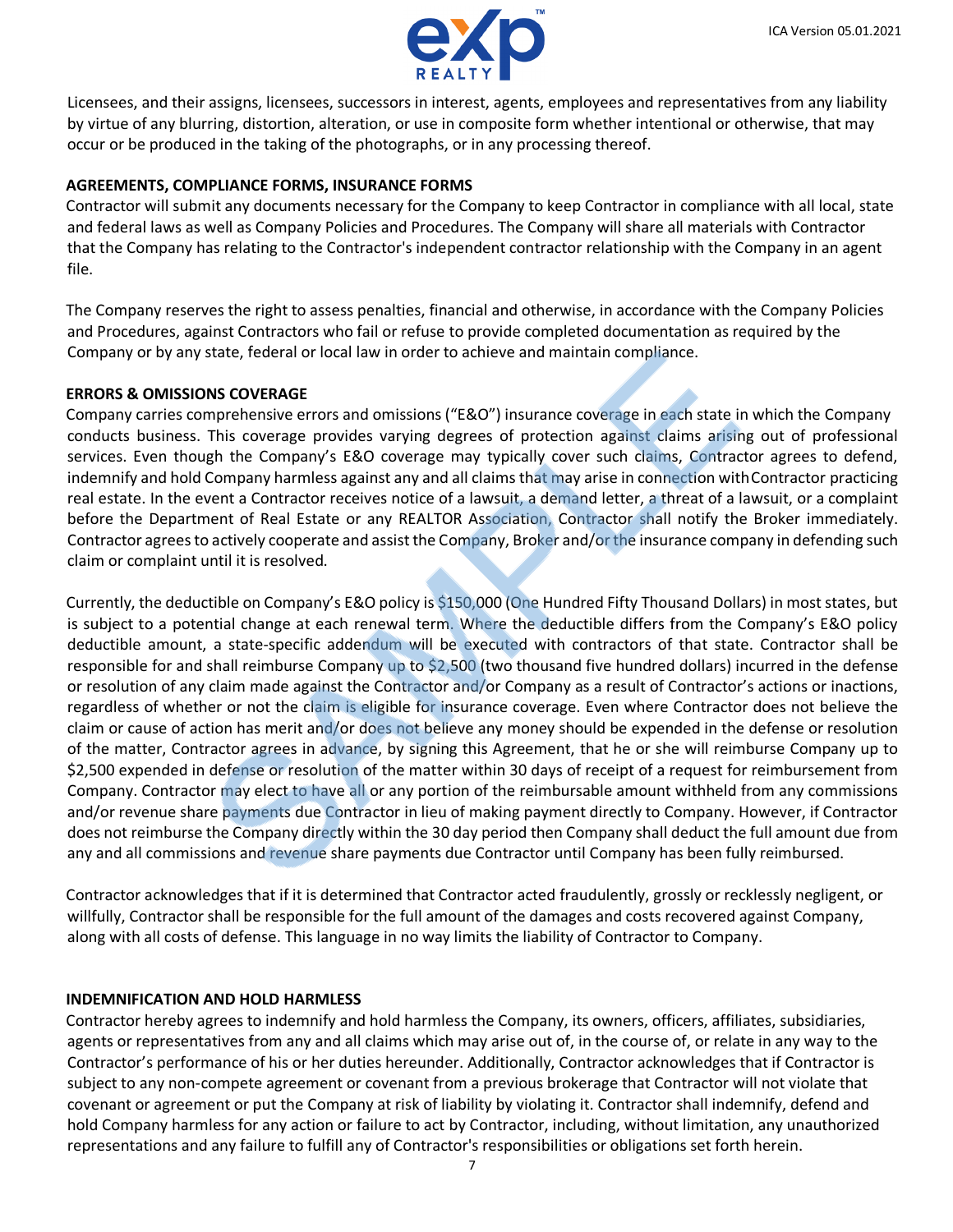

Licensees, and their assigns, licensees, successors in interest, agents, employees and representatives from any liability by virtue of any blurring, distortion, alteration, or use in composite form whether intentional or otherwise, that may occur or be produced in the taking of the photographs, or in any processing thereof.

### **AGREEMENTS, COMPLIANCE FORMS, INSURANCE FORMS**

Contractor will submit any documents necessary for the Company to keep Contractor in compliance with all local, state and federal laws as well as Company Policies and Procedures. The Company will share all materials with Contractor that the Company has relating to the Contractor's independent contractor relationship with the Company in an agent file.

The Company reserves the right to assess penalties, financial and otherwise, in accordance with the Company Policies and Procedures, against Contractors who fail or refuse to provide completed documentation as required by the Company or by any state, federal or local law in order to achieve and maintain compliance.

### **ERRORS & OMISSIONS COVERAGE**

Company carries comprehensive errors and omissions ("E&O") insurance coverage in each state in which the Company conducts business. This coverage provides varying degrees of protection against claims arising out of professional services. Even though the Company's E&O coverage may typically cover such claims, Contractor agrees to defend, indemnify and hold Company harmless against any and all claims that may arise in connection with Contractor practicing real estate. In the event a Contractor receives notice of a lawsuit, a demand letter, a threat of a lawsuit, or a complaint before the Department of Real Estate or any REALTOR Association, Contractor shall notify the Broker immediately. Contractor agrees to actively cooperate and assist the Company, Broker and/or the insurance company in defending such claim or complaint until it is resolved.

Currently, the deductible on Company's E&O policy is \$150,000 (One Hundred Fifty Thousand Dollars) in most states, but is subject to a potential change at each renewal term. Where the deductible differs from the Company's E&O policy deductible amount, a state-specific addendum will be executed with contractors of that state. Contractor shall be responsible for and shall reimburse Company up to \$2,500 (two thousand five hundred dollars) incurred in the defense or resolution of any claim made against the Contractor and/or Company as a result of Contractor's actions or inactions, regardless of whether or not the claim is eligible for insurance coverage. Even where Contractor does not believe the claim or cause of action has merit and/or does not believe any money should be expended in the defense or resolution of the matter, Contractor agrees in advance, by signing this Agreement, that he or she will reimburse Company up to \$2,500 expended in defense or resolution of the matter within 30 days of receipt of a request for reimbursement from Company. Contractor may elect to have all or any portion of the reimbursable amount withheld from any commissions and/or revenue share payments due Contractor in lieu of making payment directly to Company. However, if Contractor does not reimburse the Company directly within the 30 day period then Company shall deduct the full amount due from any and all commissions and revenue share payments due Contractor until Company has been fully reimbursed.

Contractor acknowledges that if it is determined that Contractor acted fraudulently, grossly or recklessly negligent, or willfully, Contractor shall be responsible for the full amount of the damages and costs recovered against Company, along with all costs of defense. This language in no way limits the liability of Contractor to Company.

### **INDEMNIFICATION AND HOLD HARMLESS**

Contractor hereby agrees to indemnify and hold harmless the Company, its owners, officers, affiliates, subsidiaries, agents or representatives from any and all claims which may arise out of, in the course of, or relate in any way to the Contractor's performance of his or her duties hereunder. Additionally, Contractor acknowledges that if Contractor is subject to any non-compete agreement or covenant from a previous brokerage that Contractor will not violate that covenant or agreement or put the Company at risk of liability by violating it. Contractor shall indemnify, defend and hold Company harmless for any action or failure to act by Contractor, including, without limitation, any unauthorized representations and any failure to fulfill any of Contractor's responsibilities or obligations set forth herein.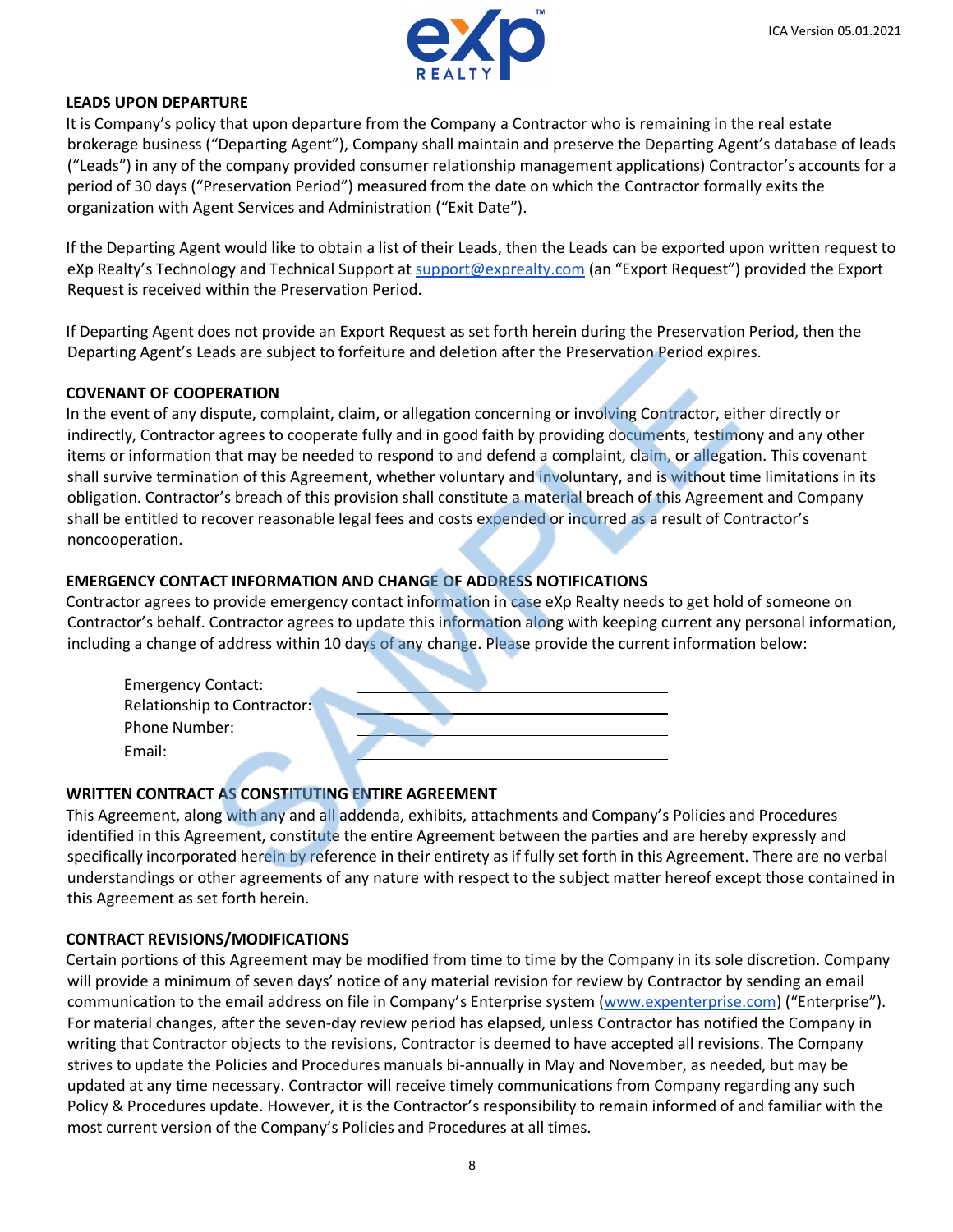

#### **LEADS UPON DEPARTURE**

It is Company's policy that upon departure from the Company a Contractor who is remaining in the real estate brokerage business ("Departing Agent"), Company shall maintain and preserve the Departing Agent's database of leads ("Leads") in any of the company provided consumer relationship management applications) Contractor's accounts for a period of 30 days ("Preservation Period") measured from the date on which the Contractor formally exits the organization with Agent Services and Administration ("Exit Date").

If the Departing Agent would like to obtain a list of their Leads, then the Leads can be exported upon written request to eXp Realty's Technology and Technical Support at [support@exprealty.com](mailto:support@exprealty.com) (an "Export Request") provided the Export Request is received within the Preservation Period.

If Departing Agent does not provide an Export Request as set forth herein during the Preservation Period, then the Departing Agent's Leads are subject to forfeiture and deletion after the Preservation Period expires.

### **COVENANT OF COOPERATION**

In the event of any dispute, complaint, claim, or allegation concerning or involving Contractor, either directly or indirectly, Contractor agrees to cooperate fully and in good faith by providing documents, testimony and any other items or information that may be needed to respond to and defend a complaint, claim, or allegation. This covenant shall survive termination of this Agreement, whether voluntary and involuntary, and is without time limitations in its obligation. Contractor's breach of this provision shall constitute a material breach of this Agreement and Company shall be entitled to recover reasonable legal fees and costs expended or incurred as a result of Contractor's noncooperation.

### **EMERGENCY CONTACT INFORMATION AND CHANGE OF ADDRESS NOTIFICATIONS**

Contractor agrees to provide emergency contact information in case eXp Realty needs to get hold of someone on Contractor's behalf. Contractor agrees to update this information along with keeping current any personal information, including a change of address within 10 days of any change. Please provide the current information below:

| <b>Emergency Contact:</b>   |  |
|-----------------------------|--|
| Relationship to Contractor: |  |
| <b>Phone Number:</b>        |  |
| Email:                      |  |

### **WRITTEN CONTRACT AS CONSTITUTING ENTIRE AGREEMENT**

This Agreement, along with any and all addenda, exhibits, attachments and Company's Policies and Procedures identified in this Agreement, constitute the entire Agreement between the parties and are hereby expressly and specifically incorporated herein by reference in their entirety as if fully set forth in this Agreement. There are no verbal understandings or other agreements of any nature with respect to the subject matter hereof except those contained in this Agreement as set forth herein.

### **CONTRACT REVISIONS/MODIFICATIONS**

Certain portions of this Agreement may be modified from time to time by the Company in its sole discretion. Company will provide a minimum of seven days' notice of any material revision for review by Contractor by sending an email communication to the email address on file in Company's Enterprise system [\(www.expenterprise.com\)](https://www.expenterprise.com/) ("Enterprise"). For material changes, after the seven-day review period has elapsed, unless Contractor has notified the Company in writing that Contractor objects to the revisions, Contractor is deemed to have accepted all revisions. The Company strives to update the Policies and Procedures manuals bi-annually in May and November, as needed, but may be updated at any time necessary. Contractor will receive timely communications from Company regarding any such Policy & Procedures update. However, it is the Contractor's responsibility to remain informed of and familiar with the most current version of the Company's Policies and Procedures at all times.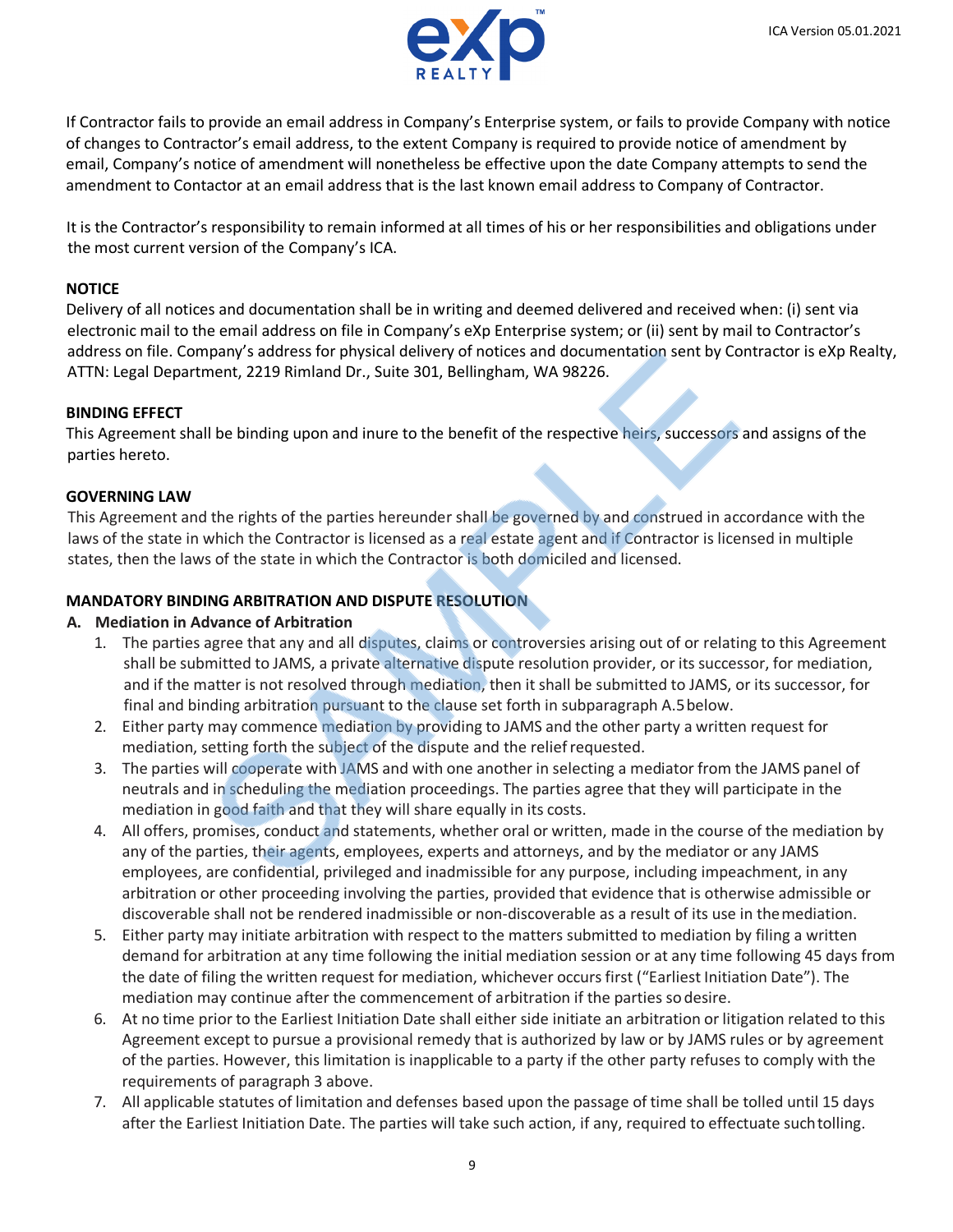

If Contractor fails to provide an email address in Company's Enterprise system, or fails to provide Company with notice of changes to Contractor's email address, to the extent Company is required to provide notice of amendment by email, Company's notice of amendment will nonetheless be effective upon the date Company attempts to send the amendment to Contactor at an email address that is the last known email address to Company of Contractor.

It is the Contractor's responsibility to remain informed at all times of his or her responsibilities and obligations under the most current version of the Company's ICA.

### **NOTICE**

Delivery of all notices and documentation shall be in writing and deemed delivered and received when: (i) sent via electronic mail to the email address on file in Company's eXp Enterprise system; or (ii) sent by mail to Contractor's address on file. Company's address for physical delivery of notices and documentation sent by Contractor is eXp Realty, ATTN: Legal Department, 2219 Rimland Dr., Suite 301, Bellingham, WA 98226.

### **BINDING EFFECT**

This Agreement shall be binding upon and inure to the benefit of the respective heirs, successors and assigns of the parties hereto.

### **GOVERNING LAW**

This Agreement and the rights of the parties hereunder shall be governed by and construed in accordance with the laws of the state in which the Contractor is licensed as a real estate agent and if Contractor is licensed in multiple states, then the laws of the state in which the Contractor is both domiciled and licensed.

### **MANDATORY BINDING ARBITRATION AND DISPUTE RESOLUTION**

### **A. Mediation in Advance of Arbitration**

- 1. The parties agree that any and all disputes, claims or controversies arising out of or relating to this Agreement shall be submitted to JAMS, a private alternative dispute resolution provider, or its successor, for mediation, and if the matter is not resolved through mediation, then it shall be submitted to JAMS, or its successor, for final and binding arbitration pursuant to the clause set forth in subparagraph A.5below.
- 2. Either party may commence mediation by providing to JAMS and the other party a written request for mediation, setting forth the subject of the dispute and the relief requested.
- 3. The parties will cooperate with JAMS and with one another in selecting a mediator from the JAMS panel of neutrals and in scheduling the mediation proceedings. The parties agree that they will participate in the mediation in good faith and that they will share equally in its costs.
- 4. All offers, promises, conduct and statements, whether oral or written, made in the course of the mediation by any of the parties, their agents, employees, experts and attorneys, and by the mediator or any JAMS employees, are confidential, privileged and inadmissible for any purpose, including impeachment, in any arbitration or other proceeding involving the parties, provided that evidence that is otherwise admissible or discoverable shall not be rendered inadmissible or non-discoverable as a result of its use in themediation.
- 5. Either party may initiate arbitration with respect to the matters submitted to mediation by filing a written demand for arbitration at any time following the initial mediation session or at any time following 45 days from the date of filing the written request for mediation, whichever occurs first ("Earliest Initiation Date"). The mediation may continue after the commencement of arbitration if the parties sodesire.
- 6. At no time prior to the Earliest Initiation Date shall either side initiate an arbitration or litigation related to this Agreement except to pursue a provisional remedy that is authorized by law or by JAMS rules or by agreement of the parties. However, this limitation is inapplicable to a party if the other party refuses to comply with the requirements of paragraph 3 above.
- 7. All applicable statutes of limitation and defenses based upon the passage of time shall be tolled until 15 days after the Earliest Initiation Date. The parties will take such action, if any, required to effectuate suchtolling.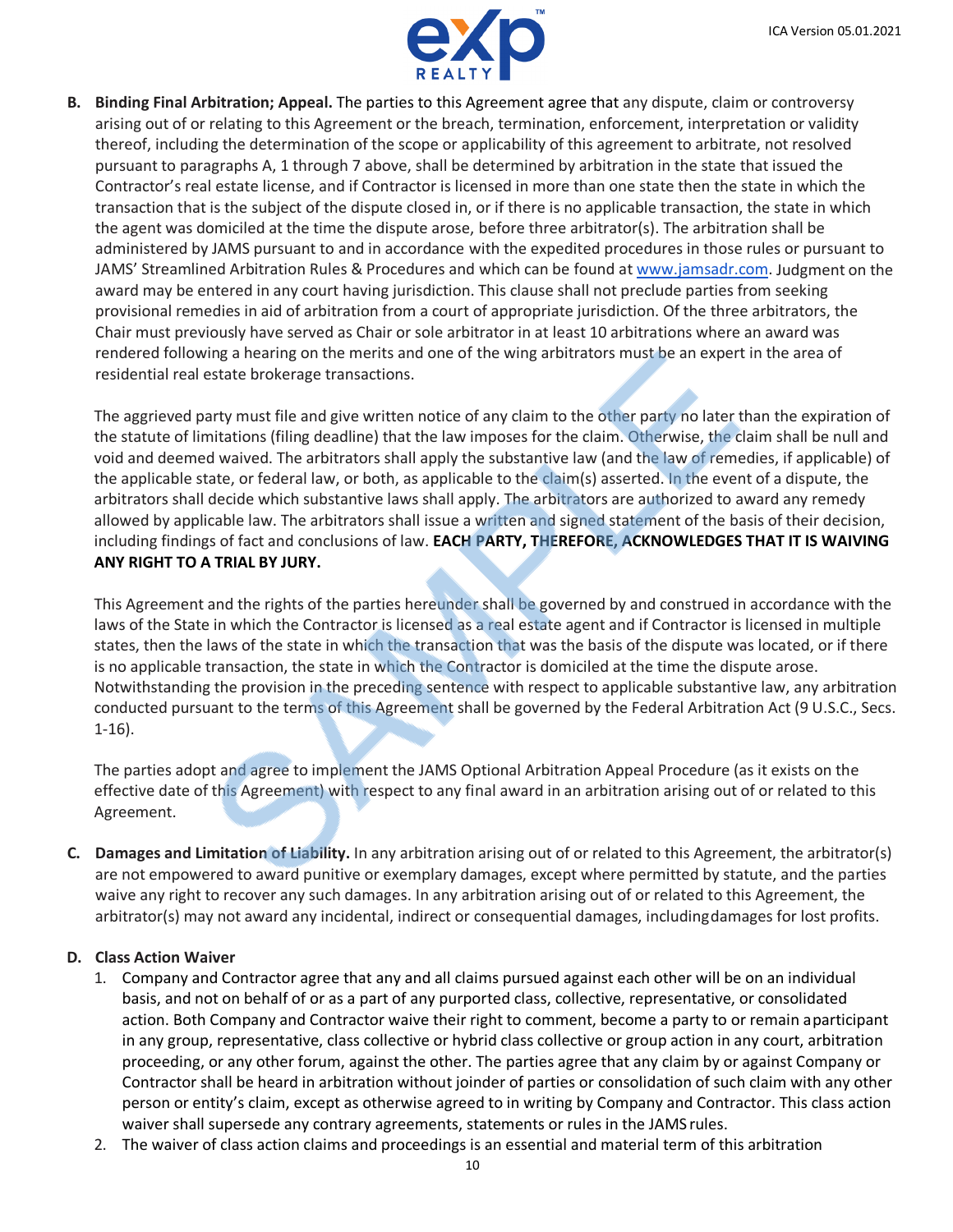

**B. Binding Final Arbitration; Appeal.** The parties to this Agreement agree that any dispute, claim or controversy arising out of or relating to this Agreement or the breach, termination, enforcement, interpretation or validity thereof, including the determination of the scope or applicability of this agreement to arbitrate, not resolved pursuant to paragraphs A, 1 through 7 above, shall be determined by arbitration in the state that issued the Contractor's real estate license, and if Contractor is licensed in more than one state then the state in which the transaction that is the subject of the dispute closed in, or if there is no applicable transaction, the state in which the agent was domiciled at the time the dispute arose, before three arbitrator(s). The arbitration shall be administered by JAMS pursuant to and in accordance with the expedited procedures in those rules or pursuant to JAMS' Streamlined Arbitration Rules & Procedures and which can be found at [www.jamsadr.com. J](https://www.jamsadr.com/rules-streamlined-arbitration/)udgment on the award may be entered in any court having jurisdiction. This clause shall not preclude parties from seeking provisional remedies in aid of arbitration from a court of appropriate jurisdiction. Of the three arbitrators, the Chair must previously have served as Chair or sole arbitrator in at least 10 arbitrations where an award was rendered following a hearing on the merits and one of the wing arbitrators must be an expert in the area of residential real estate brokerage transactions.

The aggrieved party must file and give written notice of any claim to the other party no later than the expiration of the statute of limitations (filing deadline) that the law imposes for the claim. Otherwise, the claim shall be null and void and deemed waived. The arbitrators shall apply the substantive law (and the law of remedies, if applicable) of the applicable state, or federal law, or both, as applicable to the claim(s) asserted. In the event of a dispute, the arbitrators shall decide which substantive laws shall apply. The arbitrators are authorized to award any remedy allowed by applicable law. The arbitrators shall issue a written and signed statement of the basis of their decision, including findings of fact and conclusions of law. **EACH PARTY, THEREFORE, ACKNOWLEDGES THAT IT IS WAIVING ANY RIGHT TO A TRIAL BY JURY.**

This Agreement and the rights of the parties hereunder shall be governed by and construed in accordance with the laws of the State in which the Contractor is licensed as a real estate agent and if Contractor is licensed in multiple states, then the laws of the state in which the transaction that was the basis of the dispute was located, or if there is no applicable transaction, the state in which the Contractor is domiciled at the time the dispute arose. Notwithstanding the provision in the preceding sentence with respect to applicable substantive law, any arbitration conducted pursuant to the terms of this Agreement shall be governed by the Federal Arbitration Act (9 U.S.C., Secs. 1-16).

The parties adopt and agree to implement the JAMS Optional Arbitration Appeal Procedure (as it exists on the effective date of this Agreement) with respect to any final award in an arbitration arising out of or related to this Agreement.

**C. Damages and Limitation of Liability.** In any arbitration arising out of or related to this Agreement, the arbitrator(s) are not empowered to award punitive or exemplary damages, except where permitted by statute, and the parties waive any right to recover any such damages. In any arbitration arising out of or related to this Agreement, the arbitrator(s) may not award any incidental, indirect or consequential damages, includingdamages for lost profits.

### **D. Class Action Waiver**

- 1. Company and Contractor agree that any and all claims pursued against each other will be on an individual basis, and not on behalf of or as a part of any purported class, collective, representative, or consolidated action. Both Company and Contractor waive their right to comment, become a party to or remain aparticipant in any group, representative, class collective or hybrid class collective or group action in any court, arbitration proceeding, or any other forum, against the other. The parties agree that any claim by or against Company or Contractor shall be heard in arbitration without joinder of parties or consolidation of such claim with any other person or entity's claim, except as otherwise agreed to in writing by Company and Contractor. This class action waiver shall supersede any contrary agreements, statements or rules in the JAMS rules.
- 2. The waiver of class action claims and proceedings is an essential and material term of this arbitration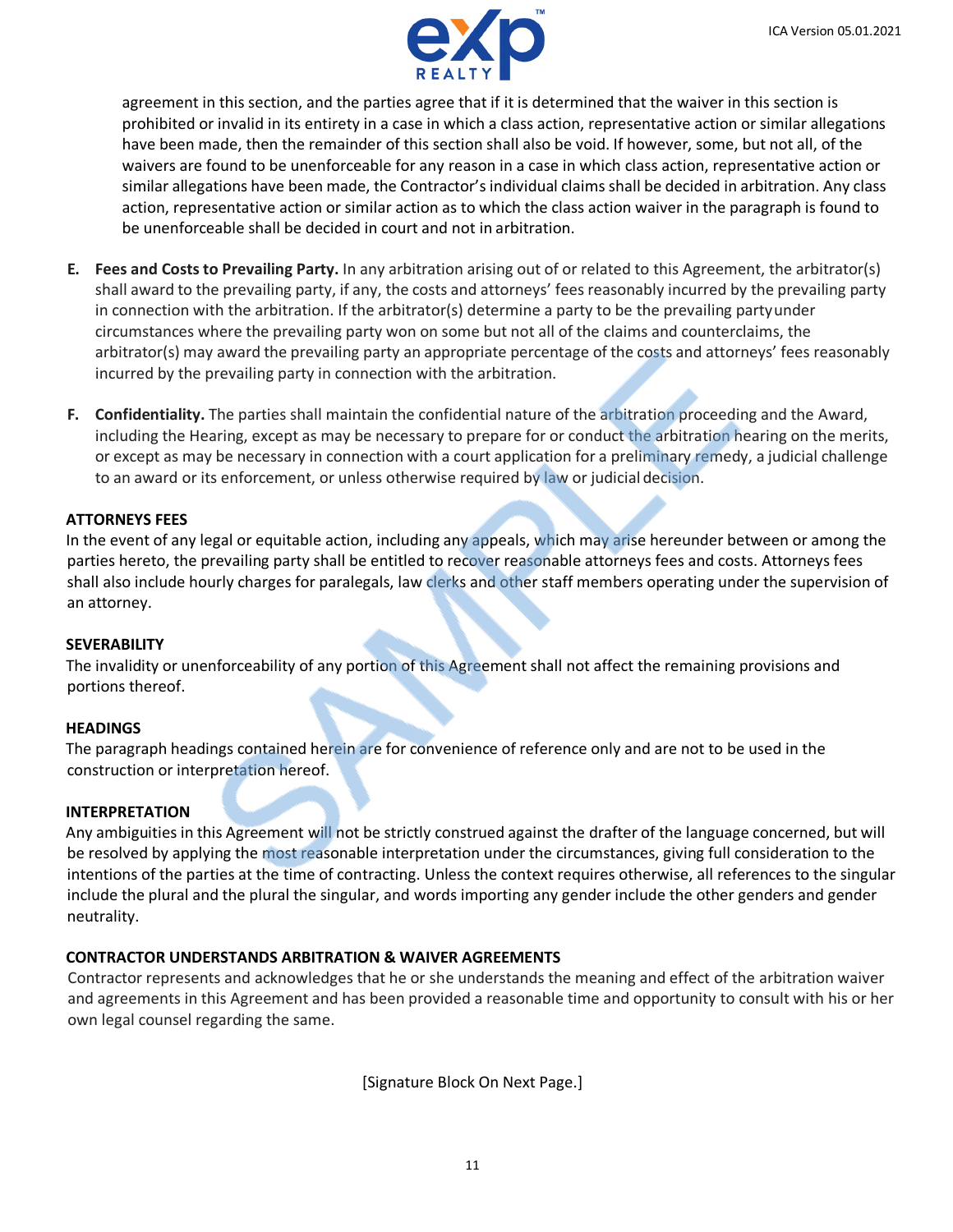

agreement in this section, and the parties agree that if it is determined that the waiver in this section is prohibited or invalid in its entirety in a case in which a class action, representative action or similar allegations have been made, then the remainder of this section shall also be void. If however, some, but not all, of the waivers are found to be unenforceable for any reason in a case in which class action, representative action or similar allegations have been made, the Contractor's individual claims shall be decided in arbitration. Any class action, representative action or similar action as to which the class action waiver in the paragraph is found to be unenforceable shall be decided in court and not in arbitration.

- **E. Fees and Costs to Prevailing Party.** In any arbitration arising out of or related to this Agreement, the arbitrator(s) shall award to the prevailing party, if any, the costs and attorneys' fees reasonably incurred by the prevailing party in connection with the arbitration. If the arbitrator(s) determine a party to be the prevailing partyunder circumstances where the prevailing party won on some but not all of the claims and counterclaims, the arbitrator(s) may award the prevailing party an appropriate percentage of the costs and attorneys' fees reasonably incurred by the prevailing party in connection with the arbitration.
- **F. Confidentiality.** The parties shall maintain the confidential nature of the arbitration proceeding and the Award, including the Hearing, except as may be necessary to prepare for or conduct the arbitration hearing on the merits, or except as may be necessary in connection with a court application for a preliminary remedy, a judicial challenge to an award or its enforcement, or unless otherwise required by law or judicial decision.

## **ATTORNEYS FEES**

In the event of any legal or equitable action, including any appeals, which may arise hereunder between or among the parties hereto, the prevailing party shall be entitled to recover reasonable attorneys fees and costs. Attorneys fees shall also include hourly charges for paralegals, law clerks and other staff members operating under the supervision of an attorney.

### **SEVERABILITY**

The invalidity or unenforceability of any portion of this Agreement shall not affect the remaining provisions and portions thereof.

### **HEADINGS**

The paragraph headings contained herein are for convenience of reference only and are not to be used in the construction or interpretation hereof.

### **INTERPRETATION**

Any ambiguities in this Agreement will not be strictly construed against the drafter of the language concerned, but will be resolved by applying the most reasonable interpretation under the circumstances, giving full consideration to the intentions of the parties at the time of contracting. Unless the context requires otherwise, all references to the singular include the plural and the plural the singular, and words importing any gender include the other genders and gender neutrality.

## **CONTRACTOR UNDERSTANDS ARBITRATION & WAIVER AGREEMENTS**

Contractor represents and acknowledges that he or she understands the meaning and effect of the arbitration waiver and agreements in this Agreement and has been provided a reasonable time and opportunity to consult with his or her own legal counsel regarding the same.

[Signature Block On Next Page.]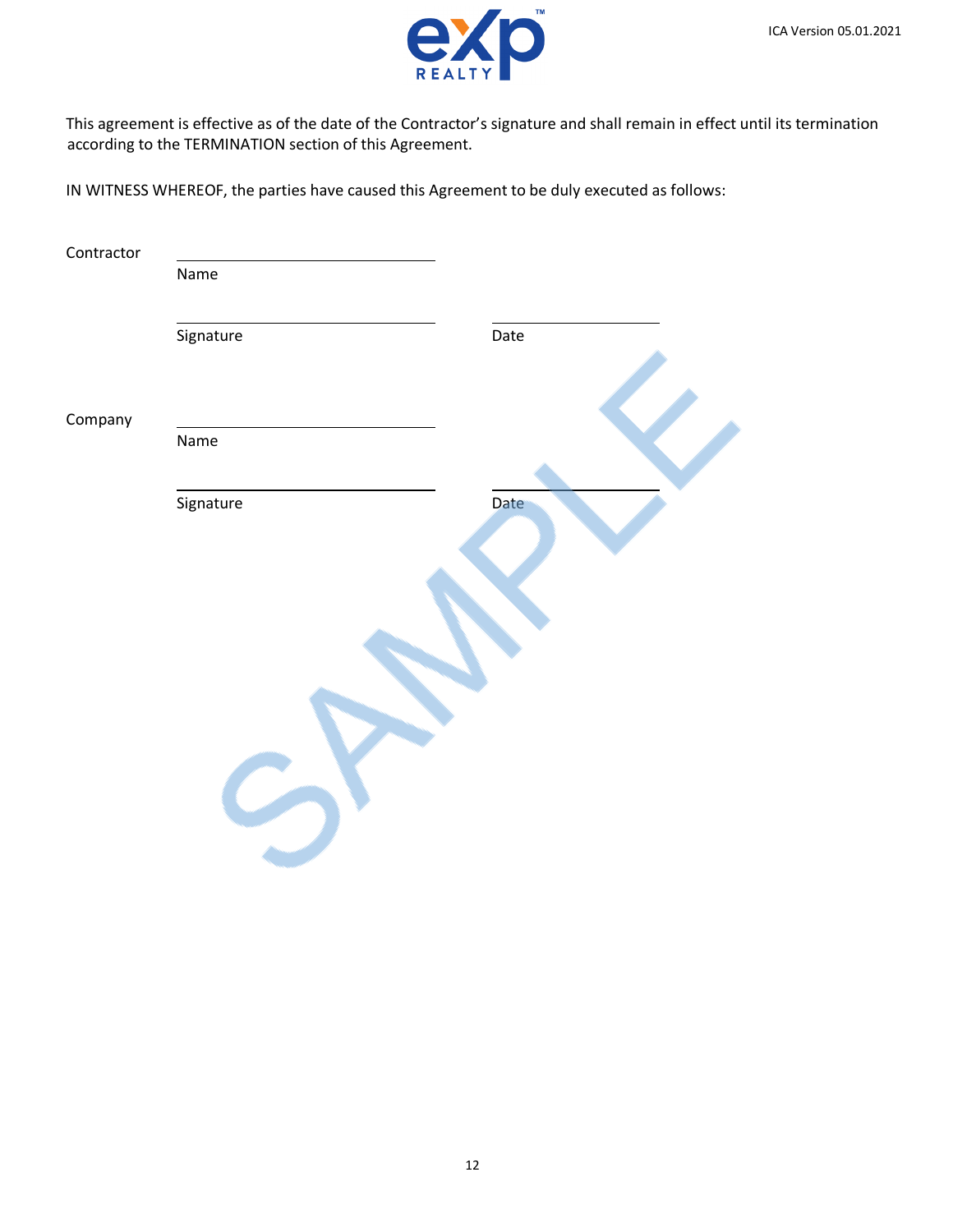

This agreement is effective as of the date of the Contractor's signature and shall remain in effect until its termination according to the TERMINATION section of this Agreement.

IN WITNESS WHEREOF, the parties have caused this Agreement to be duly executed as follows:

| Contractor |           |      |
|------------|-----------|------|
|            | Name      |      |
|            | Signature | Date |
| Company    |           |      |
|            | Name      |      |
|            | Signature | Date |
|            |           |      |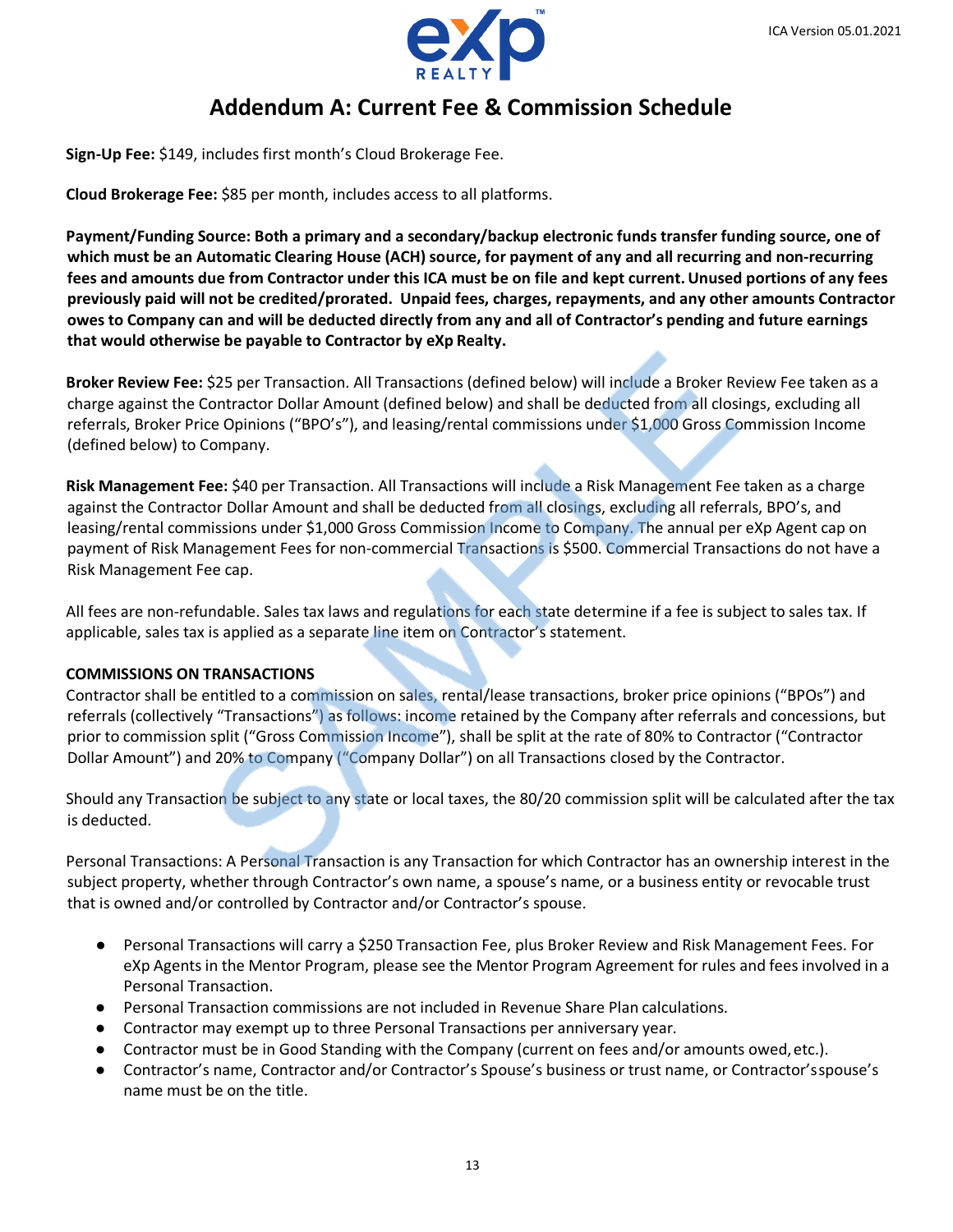

## **Addendum A: Current Fee & Commission Schedule**

**Sign-Up Fee:** \$149, includes first month's Cloud Brokerage Fee.

**Cloud Brokerage Fee:** \$85 per month, includes access to all platforms.

**Payment/Funding Source: Both a primary and a secondary/backup electronic funds transfer funding source, one of which must be an Automatic Clearing House (ACH) source, for payment of any and all recurring and non-recurring fees and amounts due from Contractor under this ICA must be on file and kept current.Unused portions of any fees previously paid will not be credited/prorated. Unpaid fees, charges, repayments, and any other amounts Contractor owes to Company can and will be deducted directly from any and all of Contractor's pending and future earnings that would otherwise be payable to Contractor by eXp Realty.**

**Broker Review Fee:** \$25 per Transaction. All Transactions (defined below) will include a Broker Review Fee taken as a charge against the Contractor Dollar Amount (defined below) and shall be deducted from all closings, excluding all referrals, Broker Price Opinions ("BPO's"), and leasing/rental commissions under \$1,000 Gross Commission Income (defined below) to Company.

**Risk Management Fee:** \$40 per Transaction. All Transactions will include a Risk Management Fee taken as a charge against the Contractor Dollar Amount and shall be deducted from all closings, excluding all referrals, BPO's, and leasing/rental commissions under \$1,000 Gross Commission Income to Company. The annual per eXp Agent cap on payment of Risk Management Fees for non-commercial Transactions is \$500. Commercial Transactions do not have a Risk Management Fee cap.

All fees are non-refundable. Sales tax laws and regulations for each state determine if a fee is subject to sales tax. If applicable, sales tax is applied as a separate line item on Contractor's statement.

### **COMMISSIONS ON TRANSACTIONS**

Contractor shall be entitled to a commission on sales, rental/lease transactions, broker price opinions ("BPOs") and referrals (collectively "Transactions") as follows: income retained by the Company after referrals and concessions, but prior to commission split ("Gross Commission Income"), shall be split at the rate of 80% to Contractor ("Contractor Dollar Amount") and 20% to Company ("Company Dollar") on all Transactions closed by the Contractor.

Should any Transaction be subject to any state or local taxes, the 80/20 commission split will be calculated after the tax is deducted.

Personal Transactions: A Personal Transaction is any Transaction for which Contractor has an ownership interest in the subject property, whether through Contractor's own name, a spouse's name, or a business entity or revocable trust that is owned and/or controlled by Contractor and/or Contractor's spouse.

- Personal Transactions will carry a \$250 Transaction Fee, plus Broker Review and Risk Management Fees. For eXp Agents in the Mentor Program, please see the Mentor Program Agreement for rules and fees involved in a Personal Transaction.
- Personal Transaction commissions are not included in Revenue Share Plan calculations.
- Contractor may exempt up to three Personal Transactions per anniversary year.
- Contractor must be in Good Standing with the Company (current on fees and/or amounts owed, etc.).
- Contractor's name, Contractor and/or Contractor's Spouse's business or trust name, or Contractor'sspouse's name must be on the title.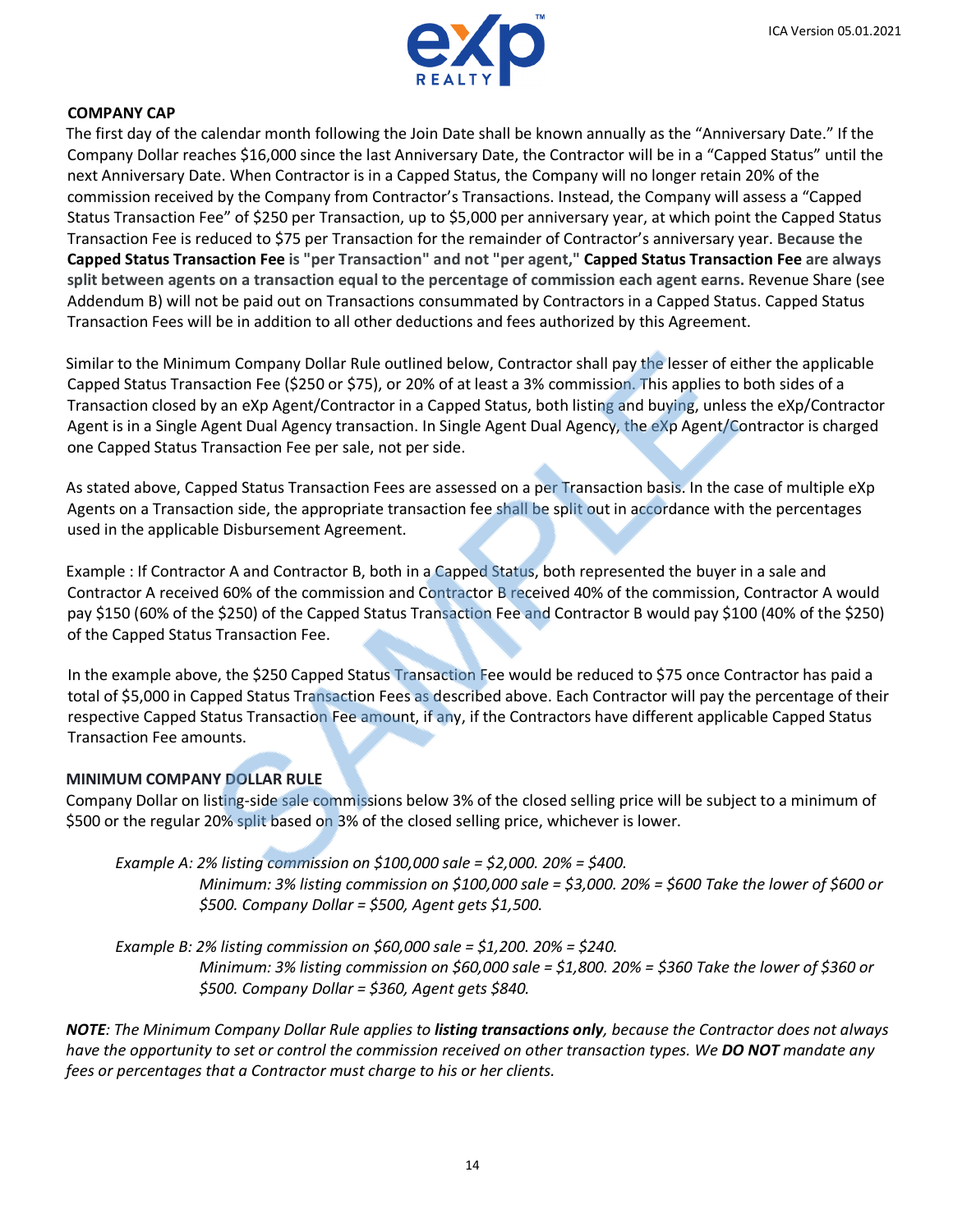

### **COMPANY CAP**

The first day of the calendar month following the Join Date shall be known annually as the "Anniversary Date." If the Company Dollar reaches \$16,000 since the last Anniversary Date, the Contractor will be in a "Capped Status" until the next Anniversary Date. When Contractor is in a Capped Status, the Company will no longer retain 20% of the commission received by the Company from Contractor's Transactions. Instead, the Company will assess a "Capped Status Transaction Fee" of \$250 per Transaction, up to \$5,000 per anniversary year, at which point the Capped Status Transaction Fee is reduced to \$75 per Transaction for the remainder of Contractor's anniversary year. **Because the Capped Status Transaction Fee is "per Transaction" and not "per agent," Capped Status Transaction Fee are always split between agents on a transaction equal to the percentage of commission each agent earns.** Revenue Share (see Addendum B) will not be paid out on Transactions consummated by Contractors in a Capped Status. Capped Status Transaction Fees will be in addition to all other deductions and fees authorized by this Agreement.

Similar to the Minimum Company Dollar Rule outlined below, Contractor shall pay the lesser of either the applicable Capped Status Transaction Fee (\$250 or \$75), or 20% of at least a 3% commission. This applies to both sides of a Transaction closed by an eXp Agent/Contractor in a Capped Status, both listing and buying, unless the eXp/Contractor Agent is in a Single Agent Dual Agency transaction. In Single Agent Dual Agency, the eXp Agent/Contractor is charged one Capped Status Transaction Fee per sale, not per side.

As stated above, Capped Status Transaction Fees are assessed on a per Transaction basis. In the case of multiple eXp Agents on a Transaction side, the appropriate transaction fee shall be split out in accordance with the percentages used in the applicable Disbursement Agreement.

Example : If Contractor A and Contractor B, both in a Capped Status, both represented the buyer in a sale and Contractor A received 60% of the commission and Contractor B received 40% of the commission, Contractor A would pay \$150 (60% of the \$250) of the Capped Status Transaction Fee and Contractor B would pay \$100 (40% of the \$250) of the Capped Status Transaction Fee.

In the example above, the \$250 Capped Status Transaction Fee would be reduced to \$75 once Contractor has paid a total of \$5,000 in Capped Status Transaction Fees as described above. Each Contractor will pay the percentage of their respective Capped Status Transaction Fee amount, if any, if the Contractors have different applicable Capped Status Transaction Fee amounts.

### **MINIMUM COMPANY DOLLAR RULE**

Company Dollar on listing-side sale commissions below 3% of the closed selling price will be subject to a minimum of \$500 or the regular 20% split based on 3% of the closed selling price, whichever is lower.

*Example A: 2% listing commission on \$100,000 sale = \$2,000. 20% = \$400.*

*Minimum: 3% listing commission on \$100,000 sale = \$3,000. 20% = \$600 Take the lower of \$600 or \$500. Company Dollar = \$500, Agent gets \$1,500.*

*Example B: 2% listing commission on \$60,000 sale = \$1,200. 20% = \$240. Minimum: 3% listing commission on \$60,000 sale = \$1,800. 20% = \$360 Take the lower of \$360 or \$500. Company Dollar = \$360, Agent gets \$840.*

*NOTE: The Minimum Company Dollar Rule applies to listing transactions only, because the Contractor does not always have the opportunity to set or control the commission received on other transaction types. We DO NOT mandate any fees or percentages that a Contractor must charge to his or her clients.*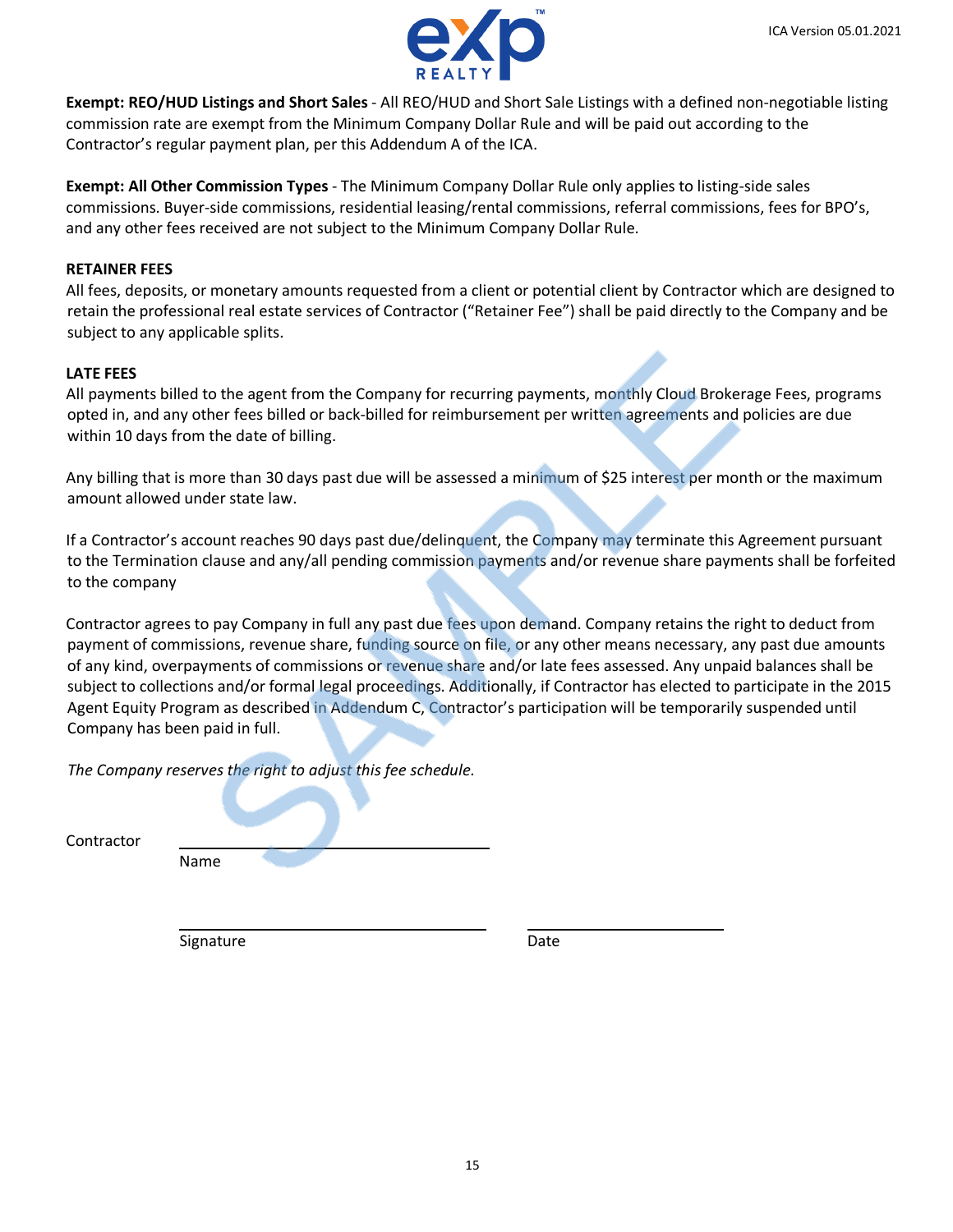



**Exempt: REO/HUD Listings and Short Sales** - All REO/HUD and Short Sale Listings with a defined non-negotiable listing commission rate are exempt from the Minimum Company Dollar Rule and will be paid out according to the Contractor's regular payment plan, per this Addendum A of the ICA.

**Exempt: All Other Commission Types** - The Minimum Company Dollar Rule only applies to listing-side sales commissions. Buyer-side commissions, residential leasing/rental commissions, referral commissions, fees for BPO's, and any other fees received are not subject to the Minimum Company Dollar Rule.

## **RETAINER FEES**

All fees, deposits, or monetary amounts requested from a client or potential client by Contractor which are designed to retain the professional real estate services of Contractor ("Retainer Fee") shall be paid directly to the Company and be subject to any applicable splits.

## **LATE FEES**

All payments billed to the agent from the Company for recurring payments, monthly Cloud Brokerage Fees, programs opted in, and any other fees billed or back-billed for reimbursement per written agreements and policies are due within 10 days from the date of billing.

Any billing that is more than 30 days past due will be assessed a minimum of \$25 interest per month or the maximum amount allowed under state law.

If a Contractor's account reaches 90 days past due/delinquent, the Company may terminate this Agreement pursuant to the Termination clause and any/all pending commission payments and/or revenue share payments shall be forfeited to the company

Contractor agrees to pay Company in full any past due fees upon demand. Company retains the right to deduct from payment of commissions, revenue share, funding source on file, or any other means necessary, any past due amounts of any kind, overpayments of commissions or revenue share and/or late fees assessed. Any unpaid balances shall be subject to collections and/or formal legal proceedings. Additionally, if Contractor has elected to participate in the 2015 Agent Equity Program as described in Addendum C, Contractor's participation will be temporarily suspended until Company has been paid in full.

*The Company reserves the right to adjust this fee schedule.*

Contractor

Name

Signature Date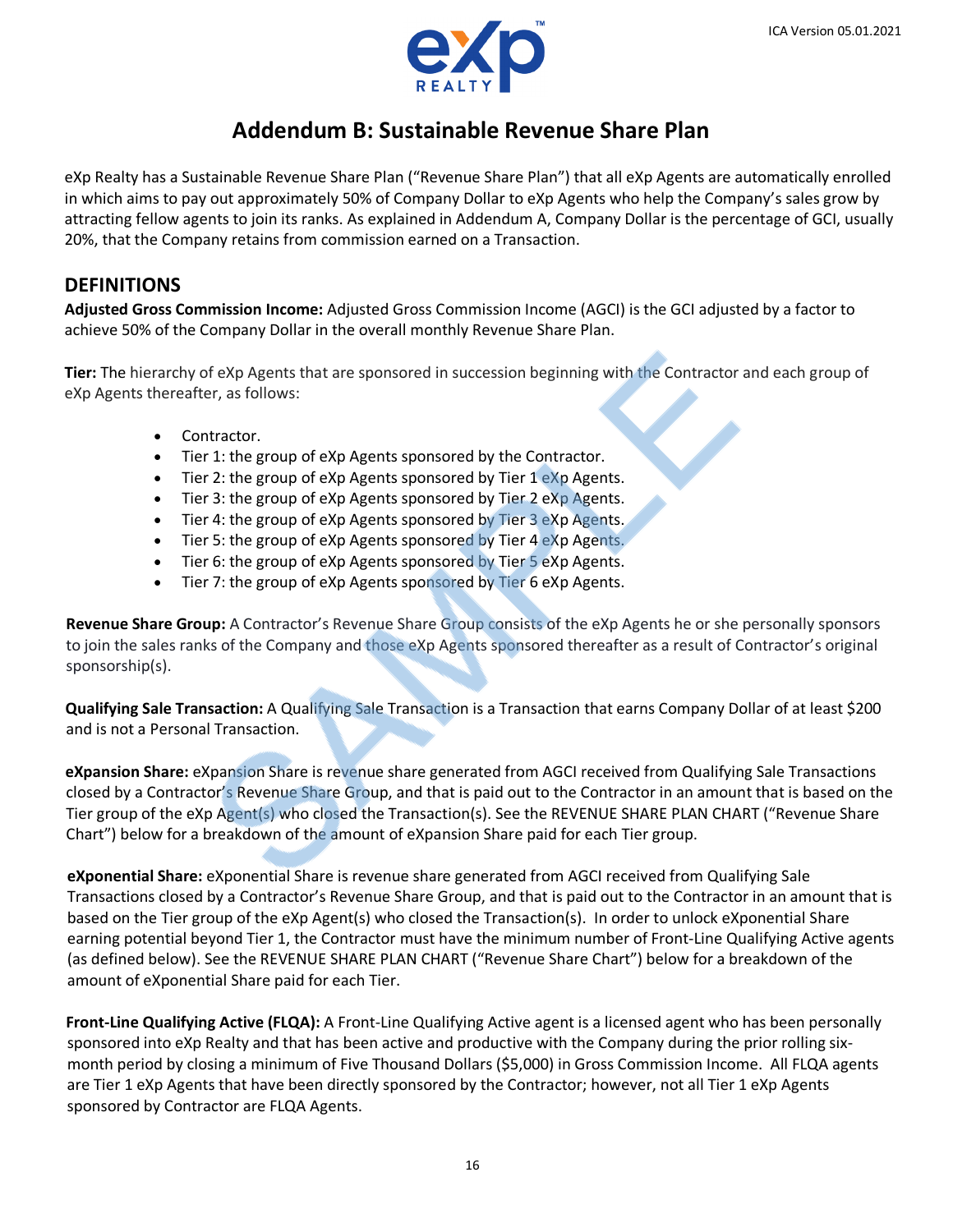

# **Addendum B: Sustainable Revenue Share Plan**

eXp Realty has a Sustainable Revenue Share Plan ("Revenue Share Plan") that all eXp Agents are automatically enrolled in which aims to pay out approximately 50% of Company Dollar to eXp Agents who help the Company's sales grow by attracting fellow agents to join its ranks. As explained in Addendum A, Company Dollar is the percentage of GCI, usually 20%, that the Company retains from commission earned on a Transaction.

## **DEFINITIONS**

**Adjusted Gross Commission Income:** Adjusted Gross Commission Income (AGCI) is the GCI adjusted by a factor to achieve 50% of the Company Dollar in the overall monthly Revenue Share Plan.

**Tier:** The hierarchy of eXp Agents that are sponsored in succession beginning with the Contractor and each group of eXp Agents thereafter, as follows:

- Contractor.
- Tier 1: the group of eXp Agents sponsored by the Contractor.
- Tier 2: the group of eXp Agents sponsored by Tier 1 eXp Agents.
- Tier 3: the group of eXp Agents sponsored by Tier 2 eXp Agents.
- Tier 4: the group of eXp Agents sponsored by Tier 3 eXp Agents.
- Tier 5: the group of eXp Agents sponsored by Tier 4 eXp Agents.
- Tier 6: the group of eXp Agents sponsored by Tier 5 eXp Agents.
- Tier 7: the group of eXp Agents sponsored by Tier 6 eXp Agents.

**Revenue Share Group:** A Contractor's Revenue Share Group consists of the eXp Agents he or she personally sponsors to join the sales ranks of the Company and those eXp Agents sponsored thereafter as a result of Contractor's original sponsorship(s).

**Qualifying Sale Transaction:** A Qualifying Sale Transaction is a Transaction that earns Company Dollar of at least \$200 and is not a Personal Transaction.

**eXpansion Share:** eXpansion Share is revenue share generated from AGCI received from Qualifying Sale Transactions closed by a Contractor's Revenue Share Group, and that is paid out to the Contractor in an amount that is based on the Tier group of the eXp Agent(s) who closed the Transaction(s). See the REVENUE SHARE PLAN CHART ("Revenue Share Chart") below for a breakdown of the amount of eXpansion Share paid for each Tier group.

**eXponential Share:** eXponential Share is revenue share generated from AGCI received from Qualifying Sale Transactions closed by a Contractor's Revenue Share Group, and that is paid out to the Contractor in an amount that is based on the Tier group of the eXp Agent(s) who closed the Transaction(s). In order to unlock eXponential Share earning potential beyond Tier 1, the Contractor must have the minimum number of Front-Line Qualifying Active agents (as defined below). See the REVENUE SHARE PLAN CHART ("Revenue Share Chart") below for a breakdown of the amount of eXponential Share paid for each Tier.

**Front-Line Qualifying Active (FLQA):** A Front-Line Qualifying Active agent is a licensed agent who has been personally sponsored into eXp Realty and that has been active and productive with the Company during the prior rolling sixmonth period by closing a minimum of Five Thousand Dollars (\$5,000) in Gross Commission Income. All FLQA agents are Tier 1 eXp Agents that have been directly sponsored by the Contractor; however, not all Tier 1 eXp Agents sponsored by Contractor are FLQA Agents.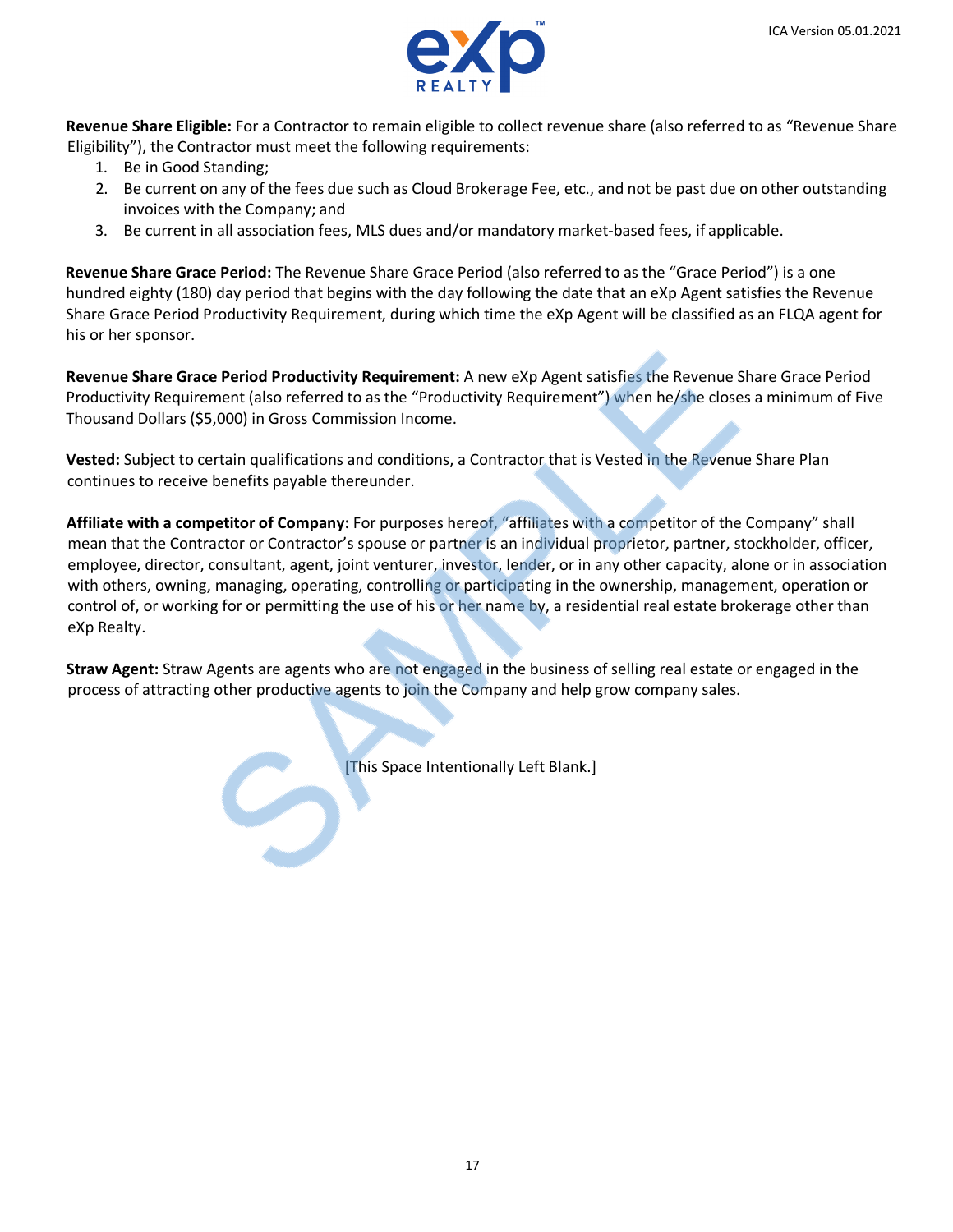

**Revenue Share Eligible:** For a Contractor to remain eligible to collect revenue share (also referred to as "Revenue Share Eligibility"), the Contractor must meet the following requirements:

- 1. Be in Good Standing;
- 2. Be current on any of the fees due such as Cloud Brokerage Fee, etc., and not be past due on other outstanding invoices with the Company; and
- 3. Be current in all association fees, MLS dues and/or mandatory market-based fees, if applicable.

**Revenue Share Grace Period:** The Revenue Share Grace Period (also referred to as the "Grace Period") is a one hundred eighty (180) day period that begins with the day following the date that an eXp Agent satisfies the Revenue Share Grace Period Productivity Requirement, during which time the eXp Agent will be classified as an FLQA agent for his or her sponsor.

**Revenue Share Grace Period Productivity Requirement:** A new eXp Agent satisfies the Revenue Share Grace Period Productivity Requirement (also referred to as the "Productivity Requirement") when he/she closes a minimum of Five Thousand Dollars (\$5,000) in Gross Commission Income.

**Vested:** Subject to certain qualifications and conditions, a Contractor that is Vested in the Revenue Share Plan continues to receive benefits payable thereunder.

**Affiliate with a competitor of Company:** For purposes hereof, "affiliates with a competitor of the Company" shall mean that the Contractor or Contractor's spouse or partner is an individual proprietor, partner, stockholder, officer, employee, director, consultant, agent, joint venturer, investor, lender, or in any other capacity, alone or in association with others, owning, managing, operating, controlling or participating in the ownership, management, operation or control of, or working for or permitting the use of his or her name by, a residential real estate brokerage other than eXp Realty.

**Straw Agent:** Straw Agents are agents who are not engaged in the business of selling real estate or engaged in the process of attracting other productive agents to join the Company and help grow company sales.

[This Space Intentionally Left Blank.]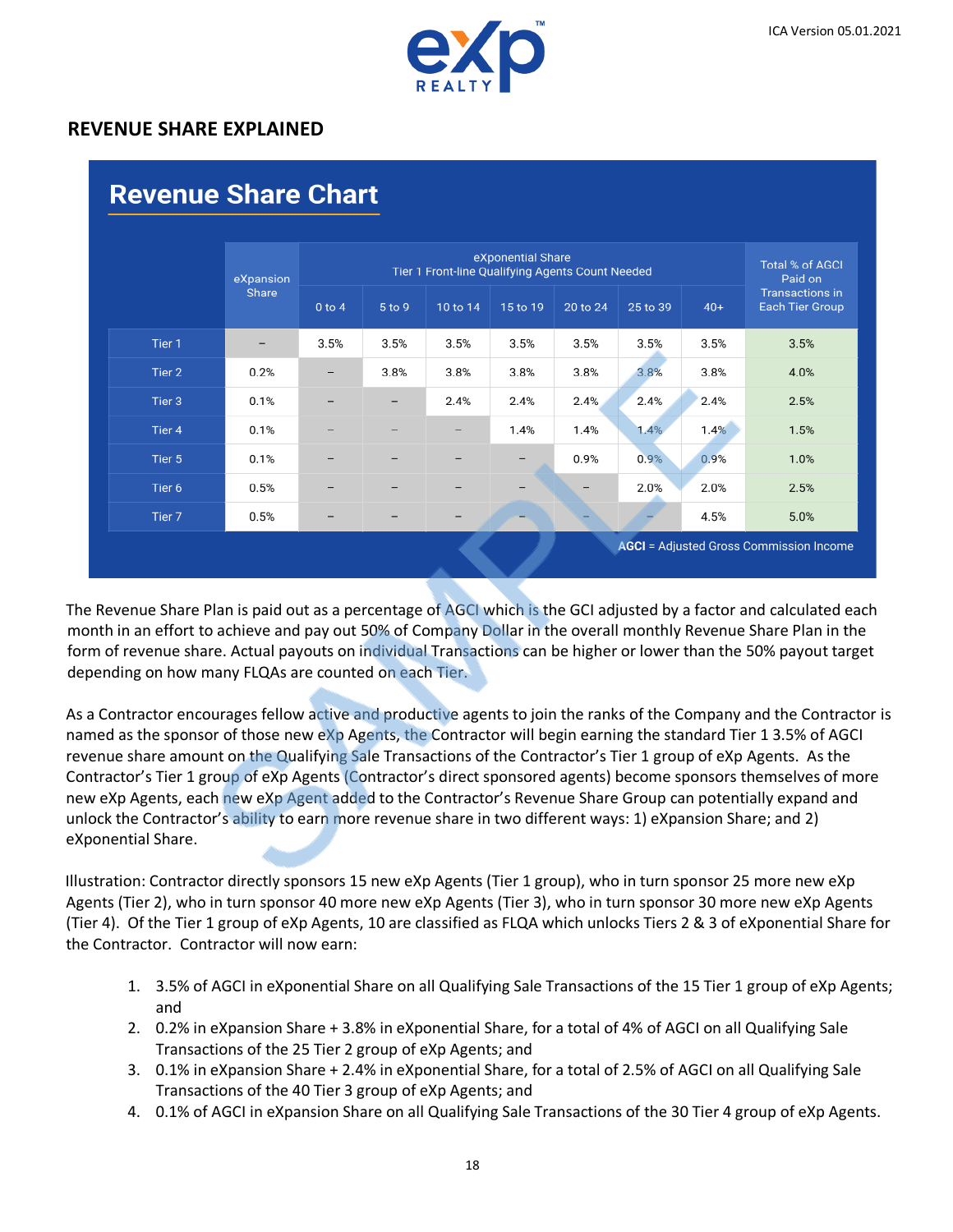

## **REVENUE SHARE EXPLAINED**

|                   | eXpansion       |            | eXponential Share<br>Tier 1 Front-line Qualifying Agents Count Needed |          |          |          |          |       | <b>Total % of AGCI</b><br>Paid on         |
|-------------------|-----------------|------------|-----------------------------------------------------------------------|----------|----------|----------|----------|-------|-------------------------------------------|
|                   | Share           | $0$ to $4$ | 5 to 9                                                                | 10 to 14 | 15 to 19 | 20 to 24 | 25 to 39 | $40+$ | <b>Transactions in</b><br>Each Tier Group |
| Tier 1            | $\qquad \qquad$ | 3.5%       | 3.5%                                                                  | 3.5%     | 3.5%     | 3.5%     | 3.5%     | 3.5%  | 3.5%                                      |
| Tier 2            | 0.2%            | -          | 3.8%                                                                  | 3.8%     | 3.8%     | 3.8%     | 3.8%     | 3.8%  | 4.0%                                      |
| Tier 3            | 0.1%            |            |                                                                       | 2.4%     | 2.4%     | 2.4%     | 2.4%     | 2.4%  | 2.5%                                      |
| Tier <sub>4</sub> | 0.1%            |            |                                                                       |          | 1.4%     | 1.4%     | 1.4%     | 1.4%  | 1.5%                                      |
| Tier 5            | 0.1%            |            |                                                                       |          |          | 0.9%     | 0.9%     | 0.9%  | 1.0%                                      |
| Tier 6            | 0.5%            |            |                                                                       |          |          |          | 2.0%     | 2.0%  | 2.5%                                      |
| Tier 7            | 0.5%            | -          |                                                                       |          |          |          |          | 4.5%  | 5.0%                                      |

The Revenue Share Plan is paid out as a percentage of AGCI which is the GCI adjusted by a factor and calculated each month in an effort to achieve and pay out 50% of Company Dollar in the overall monthly Revenue Share Plan in the form of revenue share. Actual payouts on individual Transactions can be higher or lower than the 50% payout target depending on how many FLQAs are counted on each Tier.

As a Contractor encourages fellow active and productive agents to join the ranks of the Company and the Contractor is named as the sponsor of those new eXp Agents, the Contractor will begin earning the standard Tier 1 3.5% of AGCI revenue share amount on the Qualifying Sale Transactions of the Contractor's Tier 1 group of eXp Agents. As the Contractor's Tier 1 group of eXp Agents (Contractor's direct sponsored agents) become sponsors themselves of more new eXp Agents, each new eXp Agent added to the Contractor's Revenue Share Group can potentially expand and unlock the Contractor's ability to earn more revenue share in two different ways: 1) eXpansion Share; and 2) eXponential Share.

Illustration: Contractor directly sponsors 15 new eXp Agents (Tier 1 group), who in turn sponsor 25 more new eXp Agents (Tier 2), who in turn sponsor 40 more new eXp Agents (Tier 3), who in turn sponsor 30 more new eXp Agents (Tier 4). Of the Tier 1 group of eXp Agents, 10 are classified as FLQA which unlocks Tiers 2 & 3 of eXponential Share for the Contractor. Contractor will now earn:

- 1. 3.5% of AGCI in eXponential Share on all Qualifying Sale Transactions of the 15 Tier 1 group of eXp Agents; and
- 2. 0.2% in eXpansion Share + 3.8% in eXponential Share, for a total of 4% of AGCI on all Qualifying Sale Transactions of the 25 Tier 2 group of eXp Agents; and
- 3. 0.1% in eXpansion Share + 2.4% in eXponential Share, for a total of 2.5% of AGCI on all Qualifying Sale Transactions of the 40 Tier 3 group of eXp Agents; and
- 4. 0.1% of AGCI in eXpansion Share on all Qualifying Sale Transactions of the 30 Tier 4 group of eXp Agents.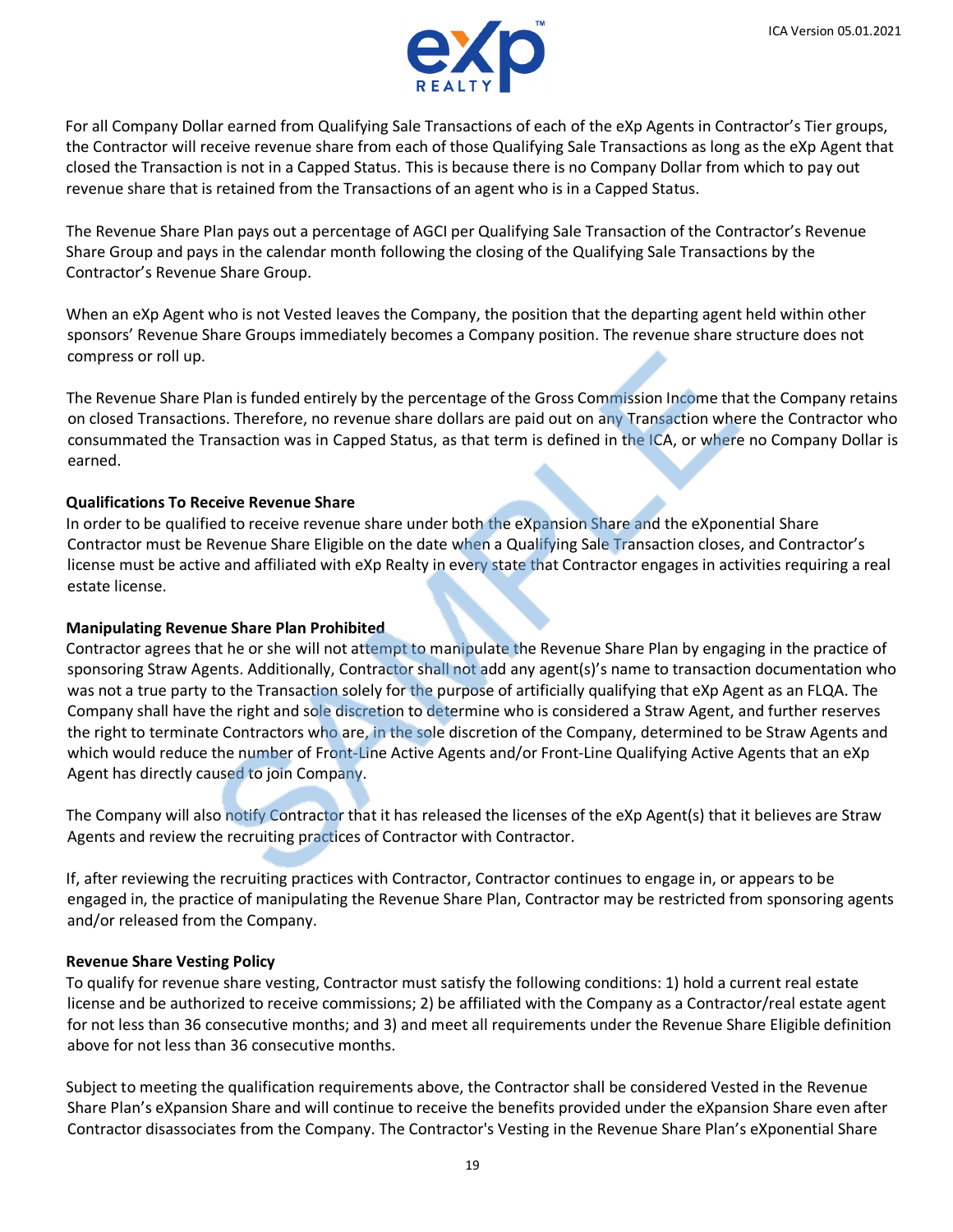

For all Company Dollar earned from Qualifying Sale Transactions of each of the eXp Agents in Contractor's Tier groups, the Contractor will receive revenue share from each of those Qualifying Sale Transactions as long as the eXp Agent that closed the Transaction is not in a Capped Status. This is because there is no Company Dollar from which to pay out revenue share that is retained from the Transactions of an agent who is in a Capped Status.

The Revenue Share Plan pays out a percentage of AGCI per Qualifying Sale Transaction of the Contractor's Revenue Share Group and pays in the calendar month following the closing of the Qualifying Sale Transactions by the Contractor's Revenue Share Group.

When an eXp Agent who is not Vested leaves the Company, the position that the departing agent held within other sponsors' Revenue Share Groups immediately becomes a Company position. The revenue share structure does not compress or roll up.

The Revenue Share Plan is funded entirely by the percentage of the Gross Commission Income that the Company retains on closed Transactions. Therefore, no revenue share dollars are paid out on any Transaction where the Contractor who consummated the Transaction was in Capped Status, as that term is defined in the ICA, or where no Company Dollar is earned.

### **Qualifications To Receive Revenue Share**

In order to be qualified to receive revenue share under both the eXpansion Share and the eXponential Share Contractor must be Revenue Share Eligible on the date when a Qualifying Sale Transaction closes, and Contractor's license must be active and affiliated with eXp Realty in every state that Contractor engages in activities requiring a real estate license.

### **Manipulating Revenue Share Plan Prohibited**

Contractor agrees that he or she will not attempt to manipulate the Revenue Share Plan by engaging in the practice of sponsoring Straw Agents. Additionally, Contractor shall not add any agent(s)'s name to transaction documentation who was not a true party to the Transaction solely for the purpose of artificially qualifying that eXp Agent as an FLQA. The Company shall have the right and sole discretion to determine who is considered a Straw Agent, and further reserves the right to terminate Contractors who are, in the sole discretion of the Company, determined to be Straw Agents and which would reduce the number of Front-Line Active Agents and/or Front-Line Qualifying Active Agents that an eXp Agent has directly caused to join Company.

The Company will also notify Contractor that it has released the licenses of the eXp Agent(s) that it believes are Straw Agents and review the recruiting practices of Contractor with Contractor.

If, after reviewing the recruiting practices with Contractor, Contractor continues to engage in, or appears to be engaged in, the practice of manipulating the Revenue Share Plan, Contractor may be restricted from sponsoring agents and/or released from the Company.

### **Revenue Share Vesting Policy**

To qualify for revenue share vesting, Contractor must satisfy the following conditions: 1) hold a current real estate license and be authorized to receive commissions; 2) be affiliated with the Company as a Contractor/real estate agent for not less than 36 consecutive months; and 3) and meet all requirements under the Revenue Share Eligible definition above for not less than 36 consecutive months.

Subject to meeting the qualification requirements above, the Contractor shall be considered Vested in the Revenue Share Plan's eXpansion Share and will continue to receive the benefits provided under the eXpansion Share even after Contractor disassociates from the Company. The Contractor's Vesting in the Revenue Share Plan's eXponential Share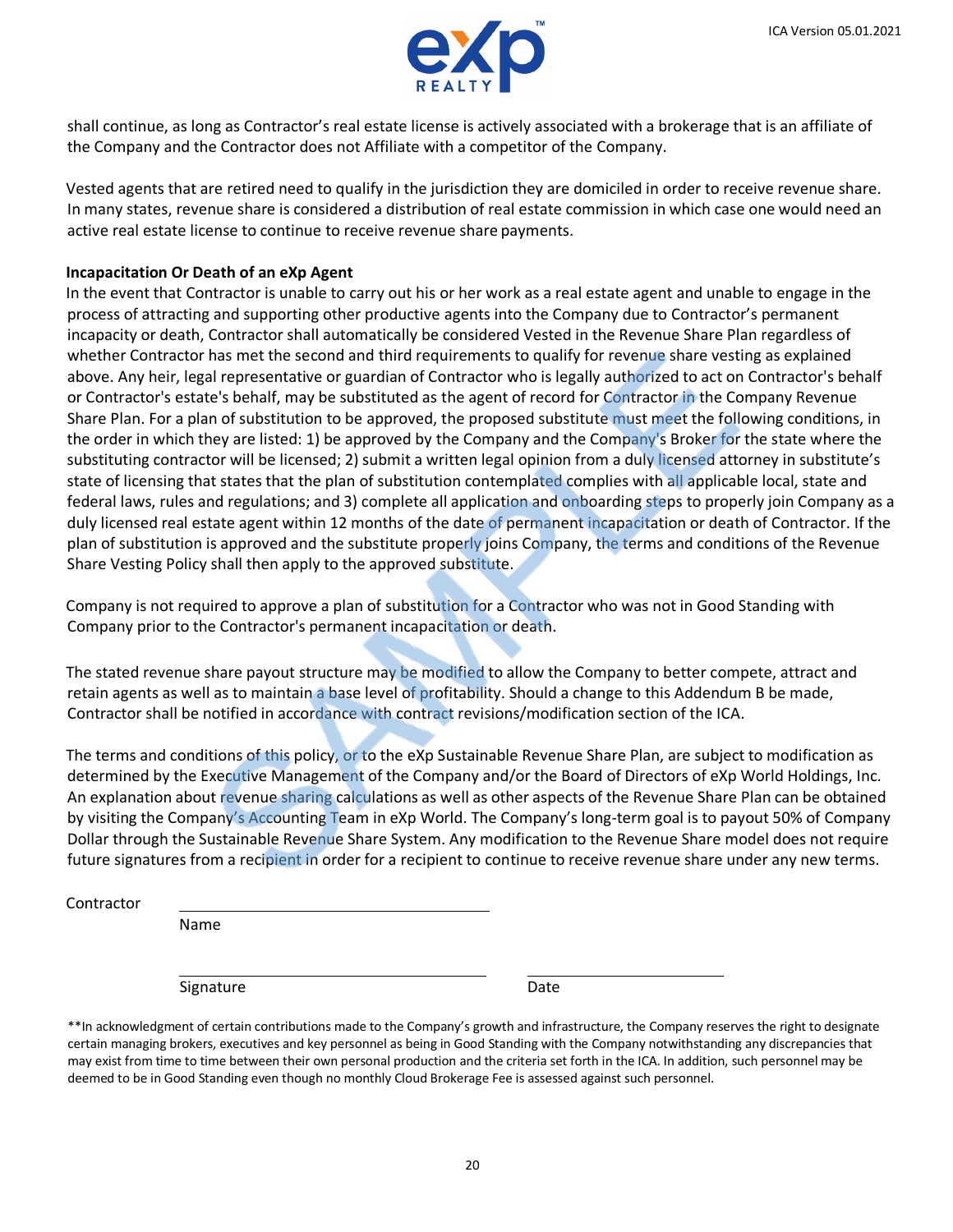

shall continue, as long as Contractor's real estate license is actively associated with a brokerage that is an affiliate of the Company and the Contractor does not Affiliate with a competitor of the Company.

Vested agents that are retired need to qualify in the jurisdiction they are domiciled in order to receive revenue share. In many states, revenue share is considered a distribution of real estate commission in which case one would need an active real estate license to continue to receive revenue share payments.

#### **Incapacitation Or Death of an eXp Agent**

In the event that Contractor is unable to carry out his or her work as a real estate agent and unable to engage in the process of attracting and supporting other productive agents into the Company due to Contractor's permanent incapacity or death, Contractor shall automatically be considered Vested in the Revenue Share Plan regardless of whether Contractor has met the second and third requirements to qualify for revenue share vesting as explained above. Any heir, legal representative or guardian of Contractor who is legally authorized to act on Contractor's behalf or Contractor's estate's behalf, may be substituted as the agent of record for Contractor in the Company Revenue Share Plan. For a plan of substitution to be approved, the proposed substitute must meet the following conditions, in the order in which they are listed: 1) be approved by the Company and the Company's Broker for the state where the substituting contractor will be licensed; 2) submit a written legal opinion from a duly licensed attorney in substitute's state of licensing that states that the plan of substitution contemplated complies with all applicable local, state and federal laws, rules and regulations; and 3) complete all application and onboarding steps to properly join Company as a duly licensed real estate agent within 12 months of the date of permanent incapacitation or death of Contractor. If the plan of substitution is approved and the substitute properly joins Company, the terms and conditions of the Revenue Share Vesting Policy shall then apply to the approved substitute.

Company is not required to approve a plan of substitution for a Contractor who was not in Good Standing with Company prior to the Contractor's permanent incapacitation or death.

The stated revenue share payout structure may be modified to allow the Company to better compete, attract and retain agents as well as to maintain a base level of profitability. Should a change to this Addendum B be made, Contractor shall be notified in accordance with contract revisions/modification section of the ICA.

The terms and conditions of this policy, or to the eXp Sustainable Revenue Share Plan, are subject to modification as determined by the Executive Management of the Company and/or the Board of Directors of eXp World Holdings, Inc. An explanation about revenue sharing calculations as well as other aspects of the Revenue Share Plan can be obtained by visiting the Company's Accounting Team in eXp World. The Company's long-term goal is to payout 50% of Company Dollar through the Sustainable Revenue Share System. Any modification to the Revenue Share model does not require future signatures from a recipient in order for a recipient to continue to receive revenue share under any new terms.

**Contractor** 

Name

Signature Date

\*\*In acknowledgment of certain contributions made to the Company's growth and infrastructure, the Company reserves the right to designate certain managing brokers, executives and key personnel as being in Good Standing with the Company notwithstanding any discrepancies that may exist from time to time between their own personal production and the criteria set forth in the ICA. In addition, such personnel may be deemed to be in Good Standing even though no monthly Cloud Brokerage Fee is assessed against such personnel.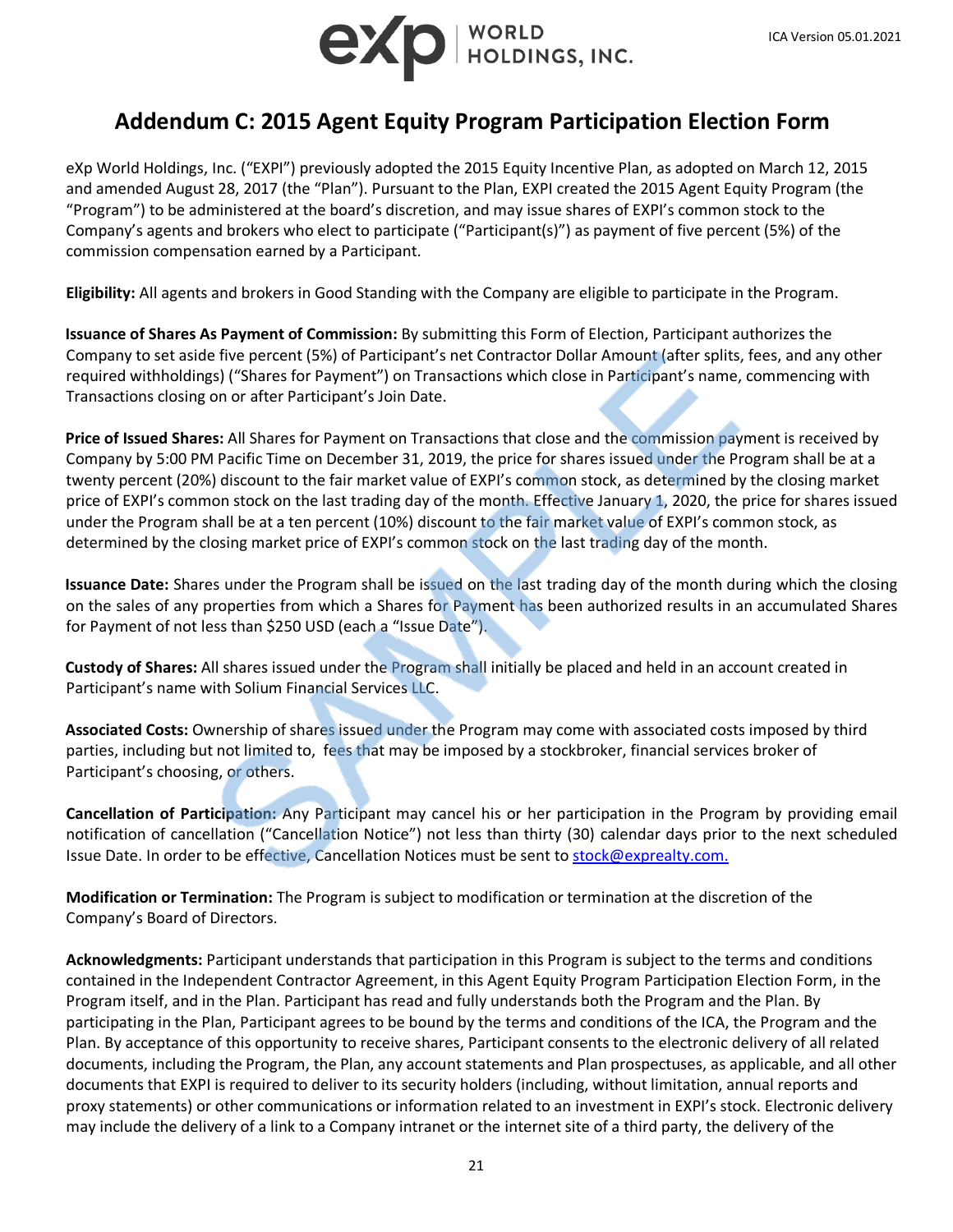

# **Addendum C: 2015 Agent Equity Program Participation Election Form**

eXp World Holdings, Inc. ("EXPI") previously adopted the 2015 Equity Incentive Plan, as adopted on March 12, 2015 and amended August 28, 2017 (the "Plan"). Pursuant to the Plan, EXPI created the 2015 Agent Equity Program (the "Program") to be administered at the board's discretion, and may issue shares of EXPI's common stock to the Company's agents and brokers who elect to participate ("Participant(s)") as payment of five percent (5%) of the commission compensation earned by a Participant.

**Eligibility:** All agents and brokers in Good Standing with the Company are eligible to participate in the Program.

**Issuance of Shares As Payment of Commission:** By submitting this Form of Election, Participant authorizes the Company to set aside five percent (5%) of Participant's net Contractor Dollar Amount (after splits, fees, and any other required withholdings) ("Shares for Payment") on Transactions which close in Participant's name, commencing with Transactions closing on or after Participant's Join Date.

**Price of Issued Shares:** All Shares for Payment on Transactions that close and the commission payment is received by Company by 5:00 PM Pacific Time on December 31, 2019, the price for shares issued under the Program shall be at a twenty percent (20%) discount to the fair market value of EXPI's common stock, as determined by the closing market price of EXPI's common stock on the last trading day of the month. Effective January 1, 2020, the price for shares issued under the Program shall be at a ten percent (10%) discount to the fair market value of EXPI's common stock, as determined by the closing market price of EXPI's common stock on the last trading day of the month.

**Issuance Date:** Shares under the Program shall be issued on the last trading day of the month during which the closing on the sales of any properties from which a Shares for Payment has been authorized results in an accumulated Shares for Payment of not less than \$250 USD (each a "Issue Date").

**Custody of Shares:** All shares issued under the Program shall initially be placed and held in an account created in Participant's name with Solium Financial Services LLC.

**Associated Costs:** Ownership of shares issued under the Program may come with associated costs imposed by third parties, including but not limited to, fees that may be imposed by a stockbroker, financial services broker of Participant's choosing, or others.

**Cancellation of Participation:** Any Participant may cancel his or her participation in the Program by providing email notification of cancellation ("Cancellation Notice") not less than thirty (30) calendar days prior to the next scheduled Issue Date. In order to be effective, Cancellation Notices must be sent to [stock@exprealty.com.](mailto:stock@exprealty.com.)

**Modification or Termination:** The Program is subject to modification or termination at the discretion of the Company's Board of Directors.

**Acknowledgments:** Participant understands that participation in this Program is subject to the terms and conditions contained in the Independent Contractor Agreement, in this Agent Equity Program Participation Election Form, in the Program itself, and in the Plan. Participant has read and fully understands both the Program and the Plan. By participating in the Plan, Participant agrees to be bound by the terms and conditions of the ICA, the Program and the Plan. By acceptance of this opportunity to receive shares, Participant consents to the electronic delivery of all related documents, including the Program, the Plan, any account statements and Plan prospectuses, as applicable, and all other documents that EXPI is required to deliver to its security holders (including, without limitation, annual reports and proxy statements) or other communications or information related to an investment in EXPI's stock. Electronic delivery may include the delivery of a link to a Company intranet or the internet site of a third party, the delivery of the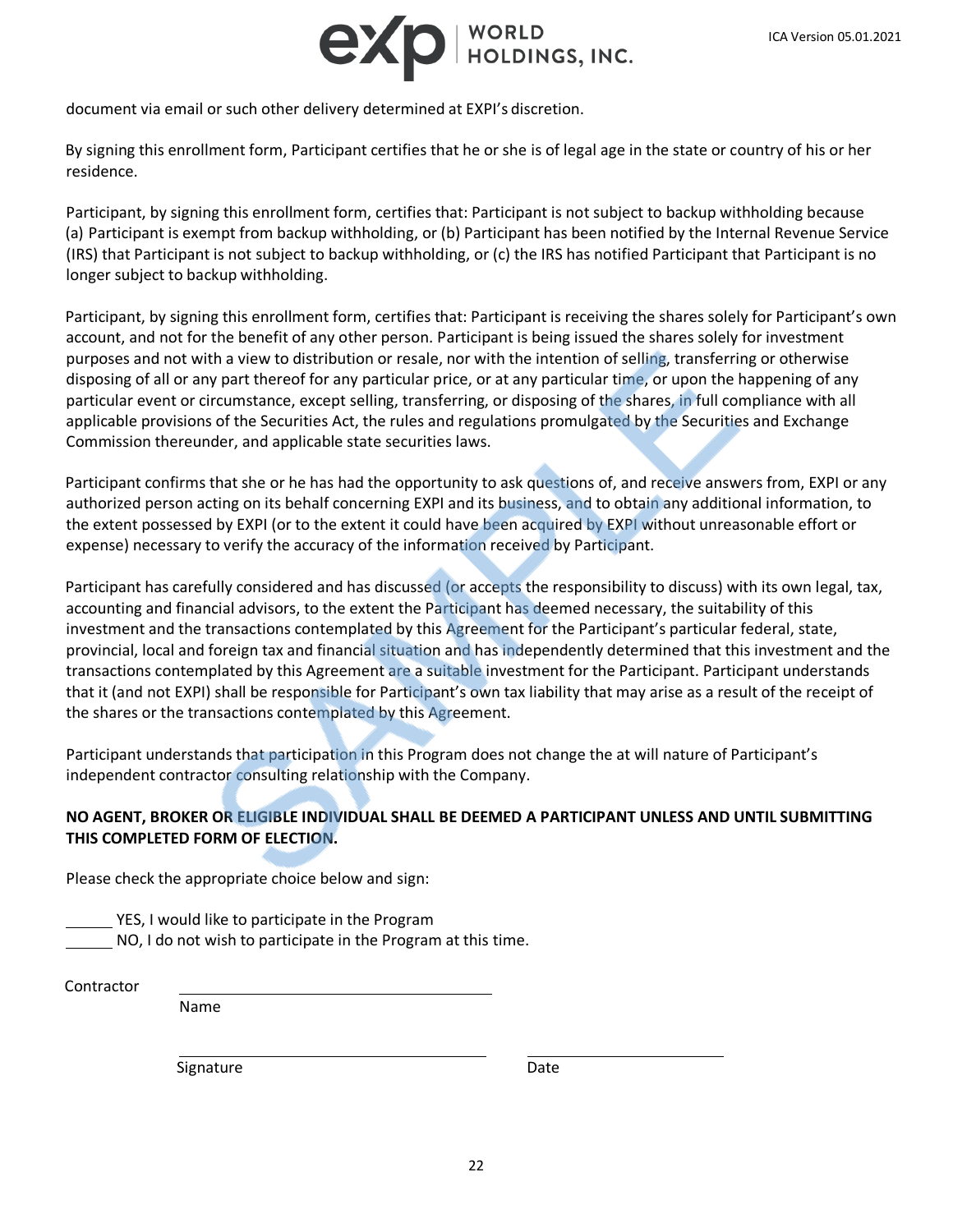

document via email or such other delivery determined at EXPI's discretion.

By signing this enrollment form, Participant certifies that he or she is of legal age in the state or country of his or her residence.

Participant, by signing this enrollment form, certifies that: Participant is not subject to backup withholding because (a) Participant is exempt from backup withholding, or (b) Participant has been notified by the Internal Revenue Service (IRS) that Participant is not subject to backup withholding, or (c) the IRS has notified Participant that Participant is no longer subject to backup withholding.

Participant, by signing this enrollment form, certifies that: Participant is receiving the shares solely for Participant's own account, and not for the benefit of any other person. Participant is being issued the shares solely for investment purposes and not with a view to distribution or resale, nor with the intention of selling, transferring or otherwise disposing of all or any part thereof for any particular price, or at any particular time, or upon the happening of any particular event or circumstance, except selling, transferring, or disposing of the shares, in full compliance with all applicable provisions of the Securities Act, the rules and regulations promulgated by the Securities and Exchange Commission thereunder, and applicable state securities laws.

Participant confirms that she or he has had the opportunity to ask questions of, and receive answers from, EXPI or any authorized person acting on its behalf concerning EXPI and its business, and to obtain any additional information, to the extent possessed by EXPI (or to the extent it could have been acquired by EXPI without unreasonable effort or expense) necessary to verify the accuracy of the information received by Participant.

Participant has carefully considered and has discussed (or accepts the responsibility to discuss) with its own legal, tax, accounting and financial advisors, to the extent the Participant has deemed necessary, the suitability of this investment and the transactions contemplated by this Agreement for the Participant's particular federal, state, provincial, local and foreign tax and financial situation and has independently determined that this investment and the transactions contemplated by this Agreement are a suitable investment for the Participant. Participant understands that it (and not EXPI) shall be responsible for Participant's own tax liability that may arise as a result of the receipt of the shares or the transactions contemplated by this Agreement.

Participant understands that participation in this Program does not change the at will nature of Participant's independent contractor consulting relationship with the Company.

## **NO AGENT, BROKER OR ELIGIBLE INDIVIDUAL SHALL BE DEEMED A PARTICIPANT UNLESS AND UNTIL SUBMITTING THIS COMPLETED FORM OF ELECTION.**

Please check the appropriate choice below and sign:

YES, I would like to participate in the Program

NO, I do not wish to participate in the Program at this time.

Contractor

Name

Signature Date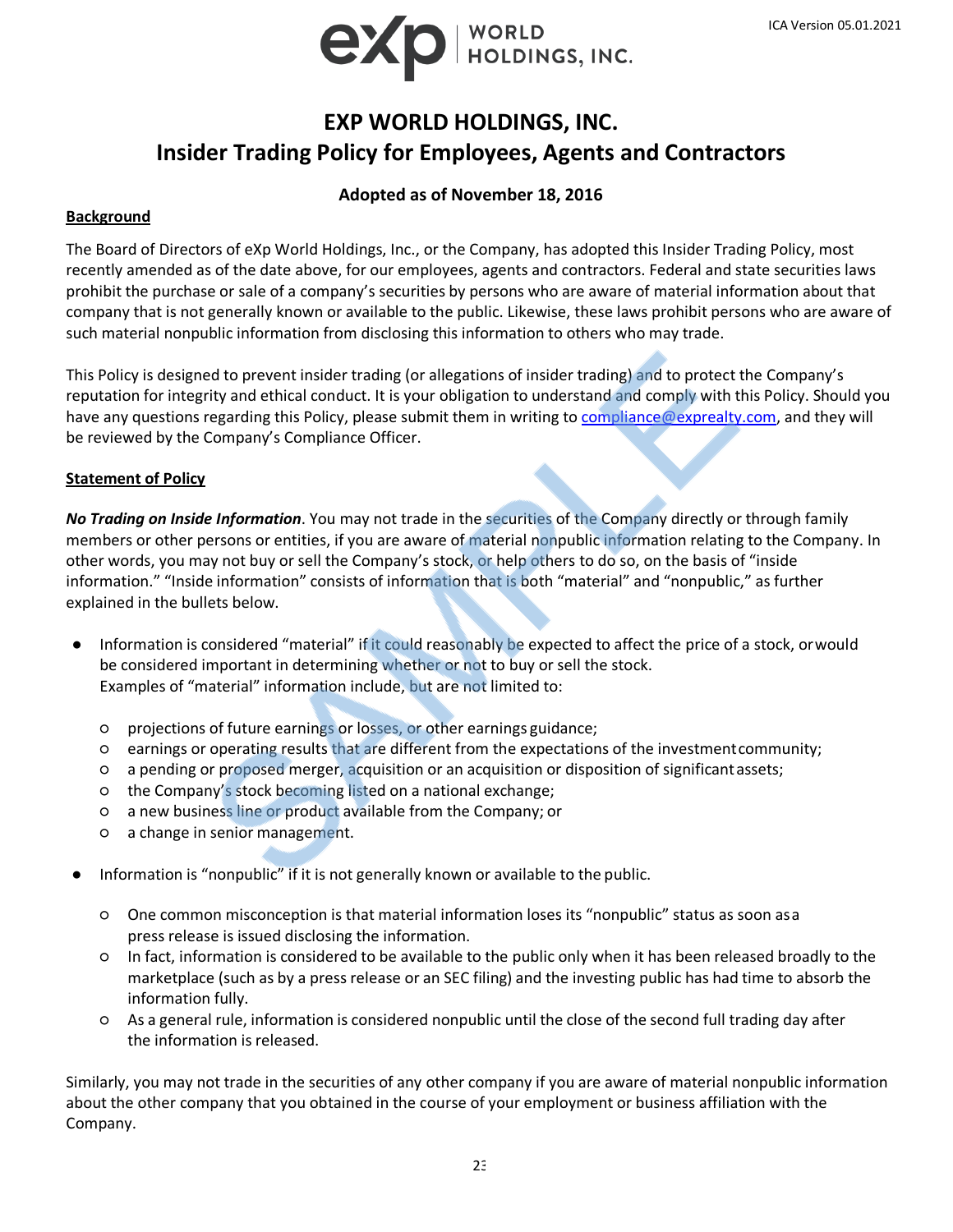

# **EXP WORLD HOLDINGS, INC. Insider Trading Policy for Employees, Agents and Contractors**

## **Adopted as of November 18, 2016**

## **Background**

The Board of Directors of eXp World Holdings, Inc., or the Company, has adopted this Insider Trading Policy, most recently amended as of the date above, for our employees, agents and contractors. Federal and state securities laws prohibit the purchase or sale of a company's securities by persons who are aware of material information about that company that is not generally known or available to the public. Likewise, these laws prohibit persons who are aware of such material nonpublic information from disclosing this information to others who may trade.

This Policy is designed to prevent insider trading (or allegations of insider trading) and to protect the Company's reputation for integrity and ethical conduct. It is your obligation to understand and comply with this Policy. Should you have any questions regarding this Policy, please submit them in writing to [compliance@exprealty.com,](mailto:compliance@exprealty.com) and they will be reviewed by the Company's Compliance Officer.

## **Statement of Policy**

*No Trading on Inside Information*. You may not trade in the securities of the Company directly or through family members or other persons or entities, if you are aware of material nonpublic information relating to the Company. In other words, you may not buy or sell the Company's stock, or help others to do so, on the basis of "inside information." "Inside information" consists of information that is both "material" and "nonpublic," as further explained in the bullets below.

- Information is considered "material" if it could reasonably be expected to affect the price of a stock, orwould be considered important in determining whether or not to buy or sell the stock. Examples of "material" information include, but are not limited to:
	- projections of future earnings or losses, or other earnings guidance;
	- earnings or operating results that are different from the expectations of the investmentcommunity;
	- a pending or proposed merger, acquisition or an acquisition or disposition of significantassets;
	- the Company's stock becoming listed on a national exchange;
	- a new business line or product available from the Company; or
	- a change in senior management.
- Information is "nonpublic" if it is not generally known or available to the public.
	- One common misconception is that material information loses its "nonpublic" status as soon asa press release is issued disclosing the information.
	- In fact, information is considered to be available to the public only when it has been released broadly to the marketplace (such as by a press release or an SEC filing) and the investing public has had time to absorb the information fully.
	- As a general rule, information is considered nonpublic until the close of the second full trading day after the information is released.

Similarly, you may not trade in the securities of any other company if you are aware of material nonpublic information about the other company that you obtained in the course of your employment or business affiliation with the Company.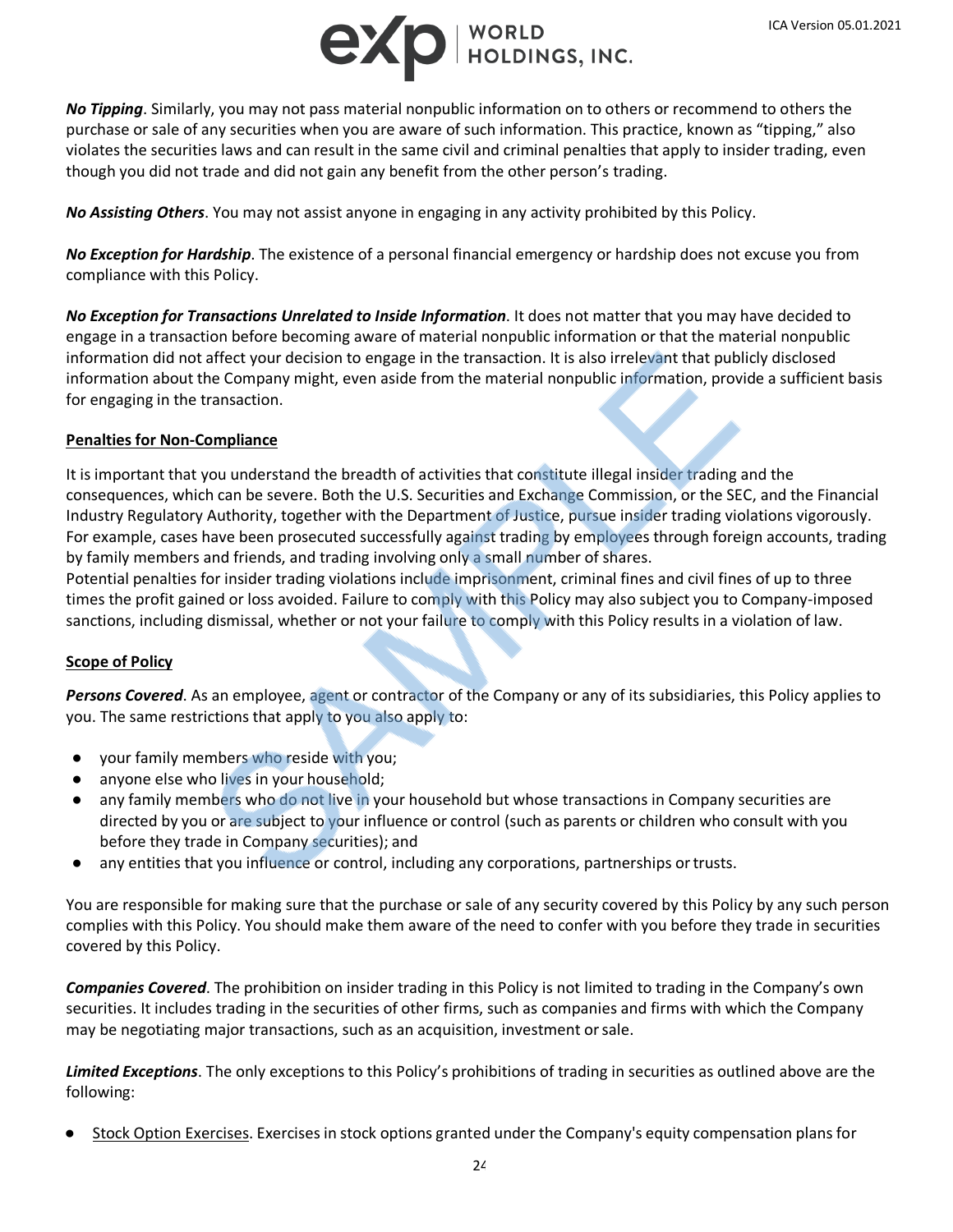

*No Tipping*. Similarly, you may not pass material nonpublic information on to others or recommend to others the purchase or sale of any securities when you are aware of such information. This practice, known as "tipping," also violates the securities laws and can result in the same civil and criminal penalties that apply to insider trading, even though you did not trade and did not gain any benefit from the other person's trading.

*No Assisting Others*. You may not assist anyone in engaging in any activity prohibited by this Policy.

*No Exception for Hardship*. The existence of a personal financial emergency or hardship does not excuse you from compliance with this Policy.

*No Exception for Transactions Unrelated to Inside Information*. It does not matter that you may have decided to engage in a transaction before becoming aware of material nonpublic information or that the material nonpublic information did not affect your decision to engage in the transaction. It is also irrelevant that publicly disclosed information about the Company might, even aside from the material nonpublic information, provide a sufficient basis for engaging in the transaction.

## **Penalties for Non-Compliance**

It is important that you understand the breadth of activities that constitute illegal insider trading and the consequences, which can be severe. Both the U.S. Securities and Exchange Commission, or the SEC, and the Financial Industry Regulatory Authority, together with the Department of Justice, pursue insider trading violations vigorously. For example, cases have been prosecuted successfully against trading by employees through foreign accounts, trading by family members and friends, and trading involving only a small number of shares.

Potential penalties for insider trading violations include imprisonment, criminal fines and civil fines of up to three times the profit gained or loss avoided. Failure to comply with this Policy may also subject you to Company-imposed sanctions, including dismissal, whether or not your failure to comply with this Policy results in a violation of law.

## **Scope of Policy**

*Persons Covered*. As an employee, agent or contractor of the Company or any of its subsidiaries, this Policy applies to you. The same restrictions that apply to you also apply to:

- your family members who reside with you;
- anyone else who lives in your household;
- any family members who do not live in your household but whose transactions in Company securities are directed by you or are subject to your influence or control (such as parents or children who consult with you before they trade in Company securities); and
- any entities that you influence or control, including any corporations, partnerships or trusts.

You are responsible for making sure that the purchase or sale of any security covered by this Policy by any such person complies with this Policy. You should make them aware of the need to confer with you before they trade in securities covered by this Policy.

*Companies Covered*. The prohibition on insider trading in this Policy is not limited to trading in the Company's own securities. It includes trading in the securities of other firms, such as companies and firms with which the Company may be negotiating major transactions, such as an acquisition, investment orsale.

*Limited Exceptions*. The only exceptions to this Policy's prohibitions of trading in securities as outlined above are the following:

Stock Option Exercises. Exercises in stock options granted under the Company's equity compensation plans for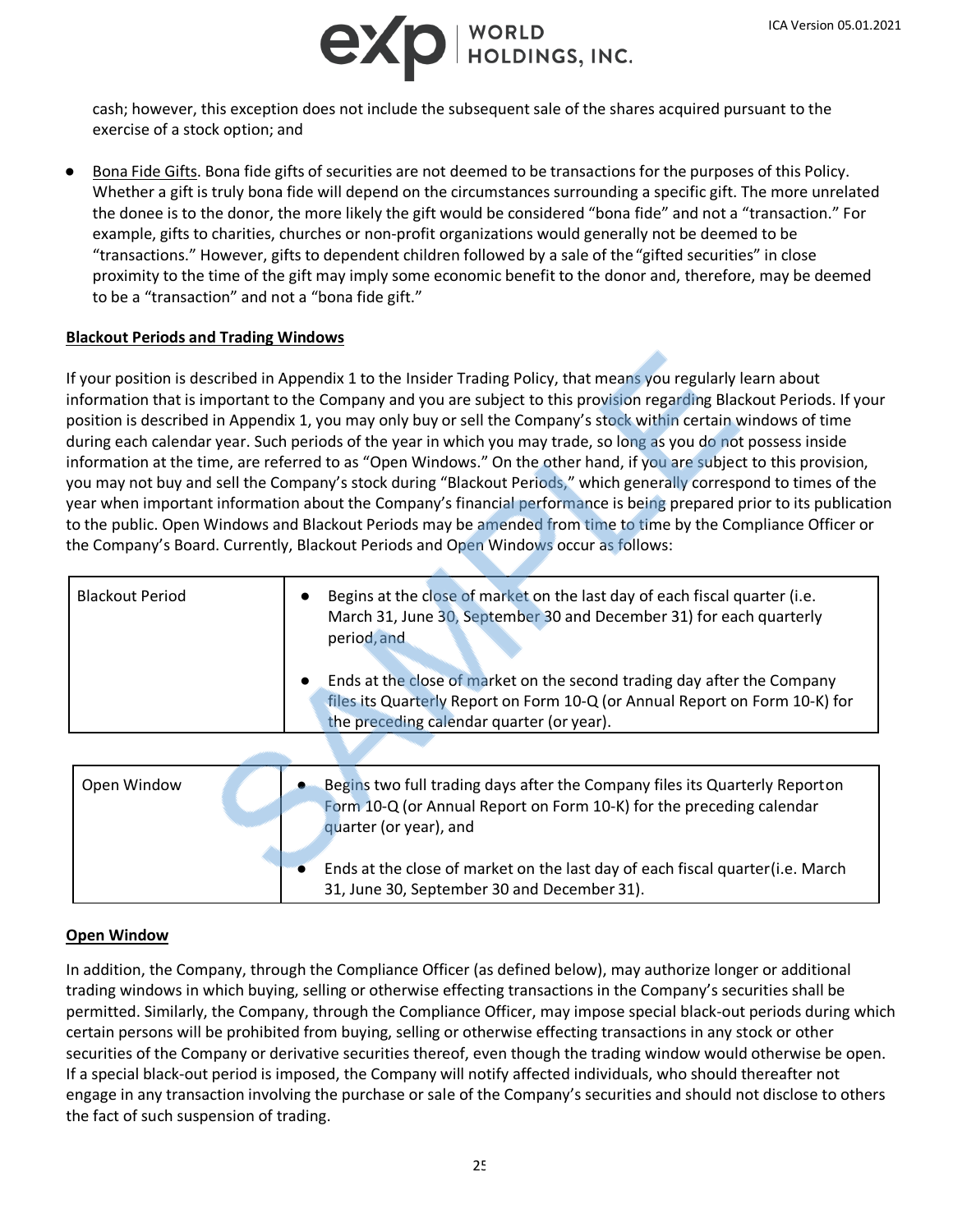

cash; however, this exception does not include the subsequent sale of the shares acquired pursuant to the exercise of a stock option; and

Bona Fide Gifts. Bona fide gifts of securities are not deemed to be transactions for the purposes of this Policy. Whether a gift is truly bona fide will depend on the circumstances surrounding a specific gift. The more unrelated the donee is to the donor, the more likely the gift would be considered "bona fide" and not a "transaction." For example, gifts to charities, churches or non-profit organizations would generally not be deemed to be "transactions." However, gifts to dependent children followed by a sale of the"gifted securities" in close proximity to the time of the gift may imply some economic benefit to the donor and, therefore, may be deemed to be a "transaction" and not a "bona fide gift."

### **Blackout Periods and Trading Windows**

If your position is described in Appendix 1 to the Insider Trading Policy, that means you regularly learn about information that is important to the Company and you are subject to this provision regarding Blackout Periods. If your position is described in Appendix 1, you may only buy or sell the Company's stock within certain windows of time during each calendar year. Such periods of the year in which you may trade, so long as you do not possess inside information at the time, are referred to as "Open Windows." On the other hand, if you are subject to this provision, you may not buy and sell the Company's stock during "Blackout Periods," which generally correspond to times of the year when important information about the Company's financial performance is being prepared prior to its publication to the public. Open Windows and Blackout Periods may be amended from time to time by the Compliance Officer or the Company's Board. Currently, Blackout Periods and Open Windows occur as follows:

| <b>Blackout Period</b> | Begins at the close of market on the last day of each fiscal quarter (i.e.<br>March 31, June 30, September 30 and December 31) for each quarterly<br>period, and<br>Ends at the close of market on the second trading day after the Company<br>$\bullet$<br>files its Quarterly Report on Form 10-Q (or Annual Report on Form 10-K) for<br>the preceding calendar quarter (or year). |
|------------------------|--------------------------------------------------------------------------------------------------------------------------------------------------------------------------------------------------------------------------------------------------------------------------------------------------------------------------------------------------------------------------------------|
|                        |                                                                                                                                                                                                                                                                                                                                                                                      |
| Open Window            | Begins two full trading days after the Company files its Quarterly Reporton<br>Form 10-Q (or Annual Report on Form 10-K) for the preceding calendar                                                                                                                                                                                                                                  |

|  | <u>TUTTI TU-Q TULAMINGI REDULLUITI UMIT TU-RI TUL LIIE DI ECEUMIK CATENUAL</u><br>quarter (or year), and                      |
|--|-------------------------------------------------------------------------------------------------------------------------------|
|  | Ends at the close of market on the last day of each fiscal quarter (i.e. March<br>31, June 30, September 30 and December 31). |

### **Open Window**

In addition, the Company, through the Compliance Officer (as defined below), may authorize longer or additional trading windows in which buying, selling or otherwise effecting transactions in the Company's securities shall be permitted. Similarly, the Company, through the Compliance Officer, may impose special black-out periods during which certain persons will be prohibited from buying, selling or otherwise effecting transactions in any stock or other securities of the Company or derivative securities thereof, even though the trading window would otherwise be open. If a special black-out period is imposed, the Company will notify affected individuals, who should thereafter not engage in any transaction involving the purchase or sale of the Company's securities and should not disclose to others the fact of such suspension of trading.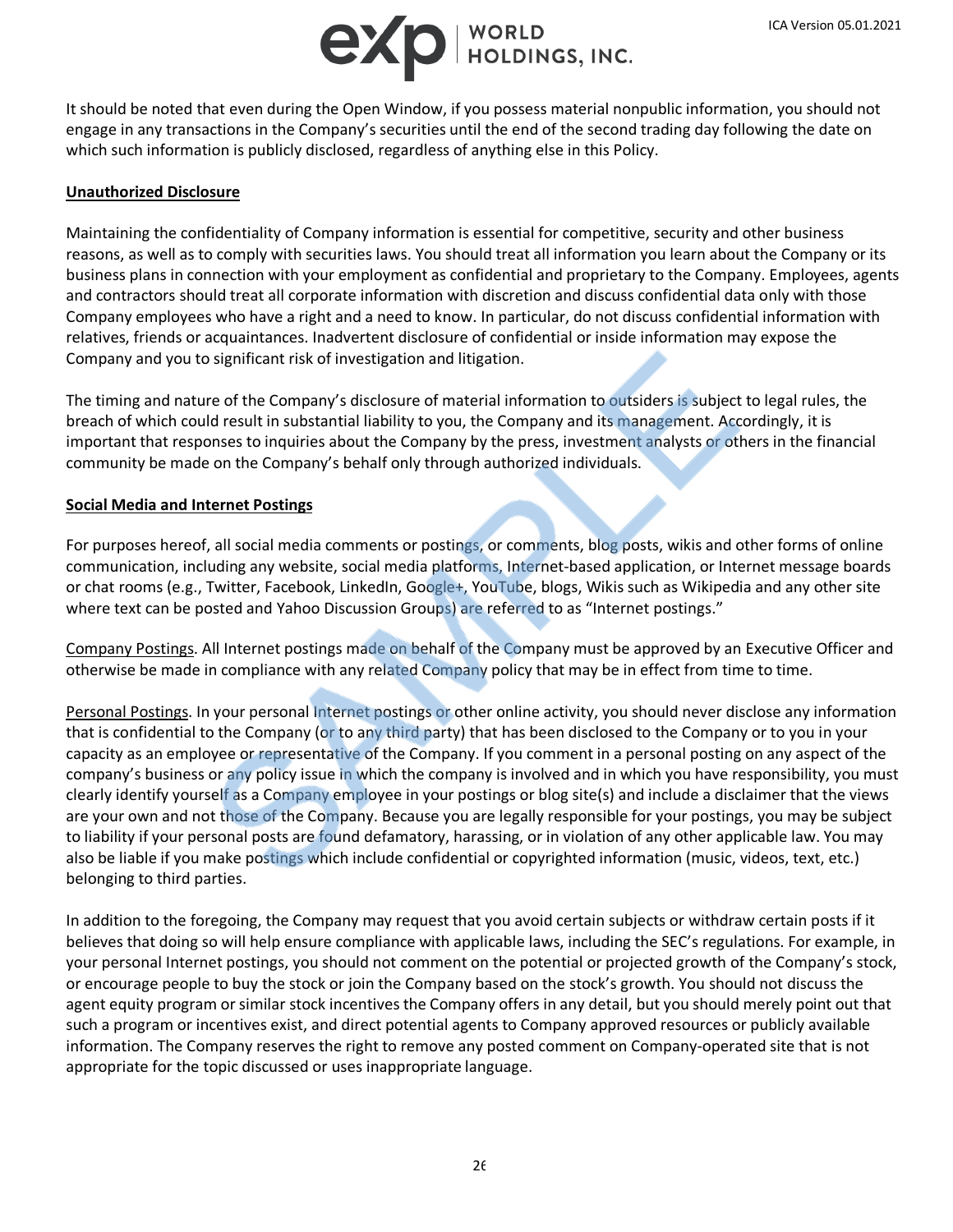

It should be noted that even during the Open Window, if you possess material nonpublic information, you should not engage in any transactions in the Company's securities until the end of the second trading day following the date on which such information is publicly disclosed, regardless of anything else in this Policy.

### **Unauthorized Disclosure**

Maintaining the confidentiality of Company information is essential for competitive, security and other business reasons, as well as to comply with securities laws. You should treat all information you learn about the Company or its business plans in connection with your employment as confidential and proprietary to the Company. Employees, agents and contractors should treat all corporate information with discretion and discuss confidential data only with those Company employees who have a right and a need to know. In particular, do not discuss confidential information with relatives, friends or acquaintances. Inadvertent disclosure of confidential or inside information may expose the Company and you to significant risk of investigation and litigation.

The timing and nature of the Company's disclosure of material information to outsiders is subject to legal rules, the breach of which could result in substantial liability to you, the Company and its management. Accordingly, it is important that responses to inquiries about the Company by the press, investment analysts or others in the financial community be made on the Company's behalf only through authorized individuals.

### **Social Media and Internet Postings**

For purposes hereof, all social media comments or postings, or comments, blog posts, wikis and other forms of online communication, including any website, social media platforms, Internet-based application, or Internet message boards or chat rooms (e.g., Twitter, Facebook, LinkedIn, Google+, YouTube, blogs, Wikis such as Wikipedia and any other site where text can be posted and Yahoo Discussion Groups) are referred to as "Internet postings."

Company Postings. All Internet postings made on behalf of the Company must be approved by an Executive Officer and otherwise be made in compliance with any related Company policy that may be in effect from time to time.

Personal Postings. In your personal Internet postings or other online activity, you should never disclose any information that is confidential to the Company (or to any third party) that has been disclosed to the Company or to you in your capacity as an employee or representative of the Company. If you comment in a personal posting on any aspect of the company's business or any policy issue in which the company is involved and in which you have responsibility, you must clearly identify yourself as a Company employee in your postings or blog site(s) and include a disclaimer that the views are your own and not those of the Company. Because you are legally responsible for your postings, you may be subject to liability if your personal posts are found defamatory, harassing, or in violation of any other applicable law. You may also be liable if you make postings which include confidential or copyrighted information (music, videos, text, etc.) belonging to third parties.

In addition to the foregoing, the Company may request that you avoid certain subjects or withdraw certain posts if it believes that doing so will help ensure compliance with applicable laws, including the SEC's regulations. For example, in your personal Internet postings, you should not comment on the potential or projected growth of the Company's stock, or encourage people to buy the stock or join the Company based on the stock's growth. You should not discuss the agent equity program or similar stock incentives the Company offers in any detail, but you should merely point out that such a program or incentives exist, and direct potential agents to Company approved resources or publicly available information. The Company reserves the right to remove any posted comment on Company-operated site that is not appropriate for the topic discussed or uses inappropriate language.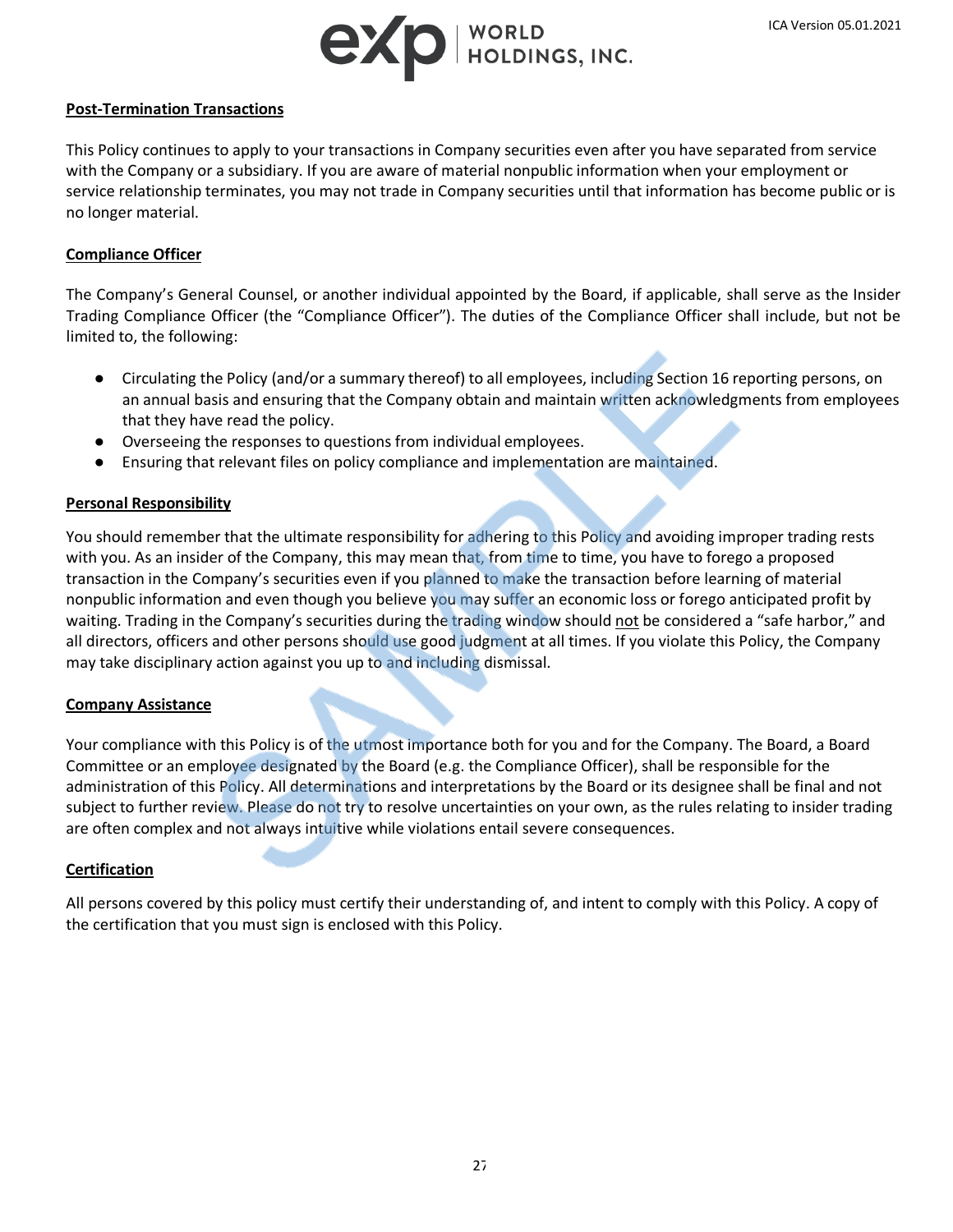

### **Post-Termination Transactions**

This Policy continues to apply to your transactions in Company securities even after you have separated from service with the Company or a subsidiary. If you are aware of material nonpublic information when your employment or service relationship terminates, you may not trade in Company securities until that information has become public or is no longer material.

## **Compliance Officer**

The Company's General Counsel, or another individual appointed by the Board, if applicable, shall serve as the Insider Trading Compliance Officer (the "Compliance Officer"). The duties of the Compliance Officer shall include, but not be limited to, the following:

- Circulating the Policy (and/or a summary thereof) to all employees, including Section 16 reporting persons, on an annual basis and ensuring that the Company obtain and maintain written acknowledgments from employees that they have read the policy.
- Overseeing the responses to questions from individual employees.
- Ensuring that relevant files on policy compliance and implementation are maintained.

### **Personal Responsibility**

You should remember that the ultimate responsibility for adhering to this Policy and avoiding improper trading rests with you. As an insider of the Company, this may mean that, from time to time, you have to forego a proposed transaction in the Company's securities even if you planned to make the transaction before learning of material nonpublic information and even though you believe you may suffer an economic loss or forego anticipated profit by waiting. Trading in the Company's securities during the trading window should not be considered a "safe harbor," and all directors, officers and other persons should use good judgment at all times. If you violate this Policy, the Company may take disciplinary action against you up to and including dismissal.

### **Company Assistance**

Your compliance with this Policy is of the utmost importance both for you and for the Company. The Board, a Board Committee or an employee designated by the Board (e.g. the Compliance Officer), shall be responsible for the administration of this Policy. All determinations and interpretations by the Board or its designee shall be final and not subject to further review. Please do not try to resolve uncertainties on your own, as the rules relating to insider trading are often complex and not always intuitive while violations entail severe consequences.

### **Certification**

All persons covered by this policy must certify their understanding of, and intent to comply with this Policy. A copy of the certification that you must sign is enclosed with this Policy.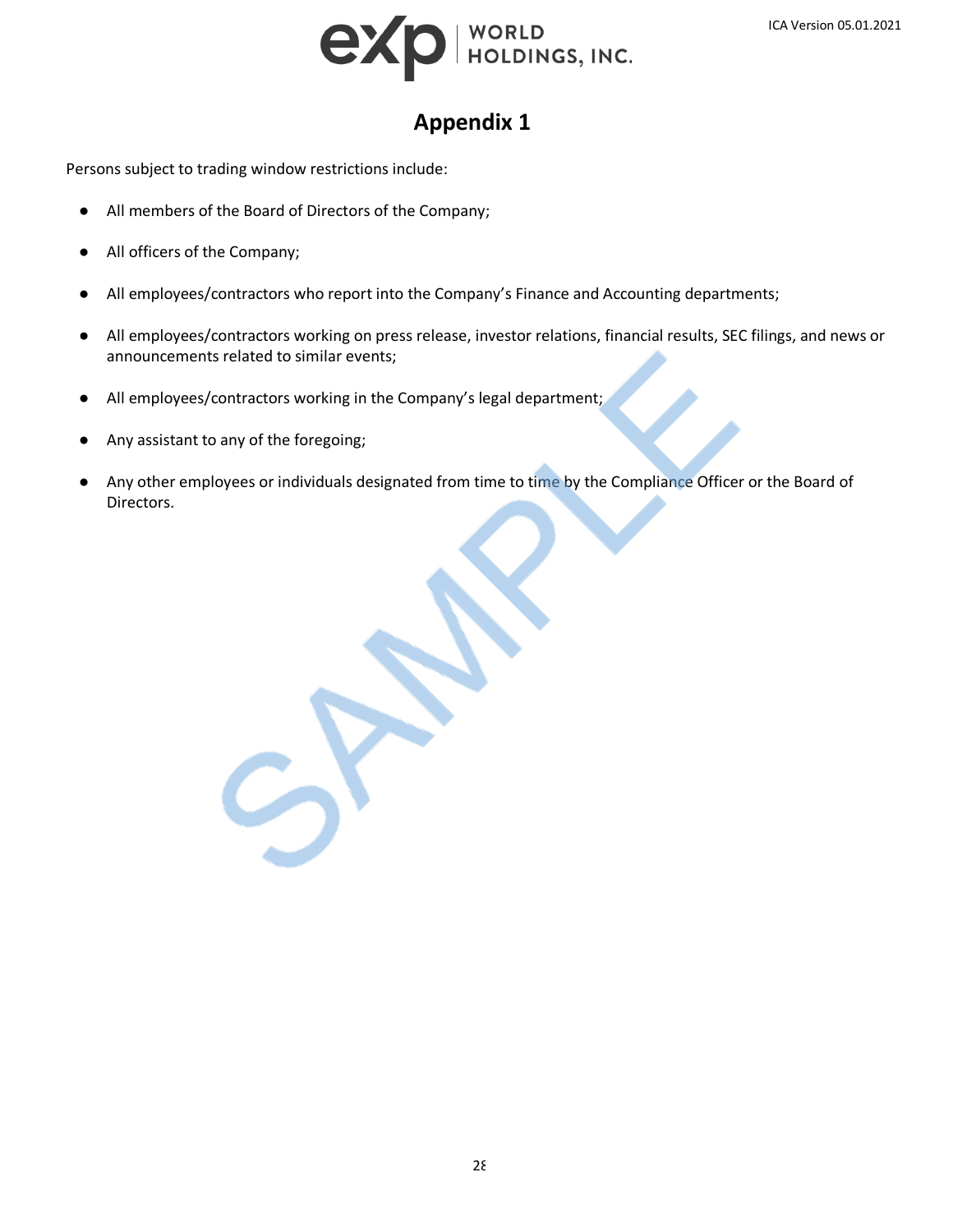

# **Appendix 1**

Persons subject to trading window restrictions include:

- All members of the Board of Directors of the Company;
- All officers of the Company;
- All employees/contractors who report into the Company's Finance and Accounting departments;
- All employees/contractors working on press release, investor relations, financial results, SEC filings, and news or announcements related to similar events;
- All employees/contractors working in the Company's legal department;
- Any assistant to any of the foregoing;
- Any other employees or individuals designated from time to time by the Compliance Officer or the Board of Directors.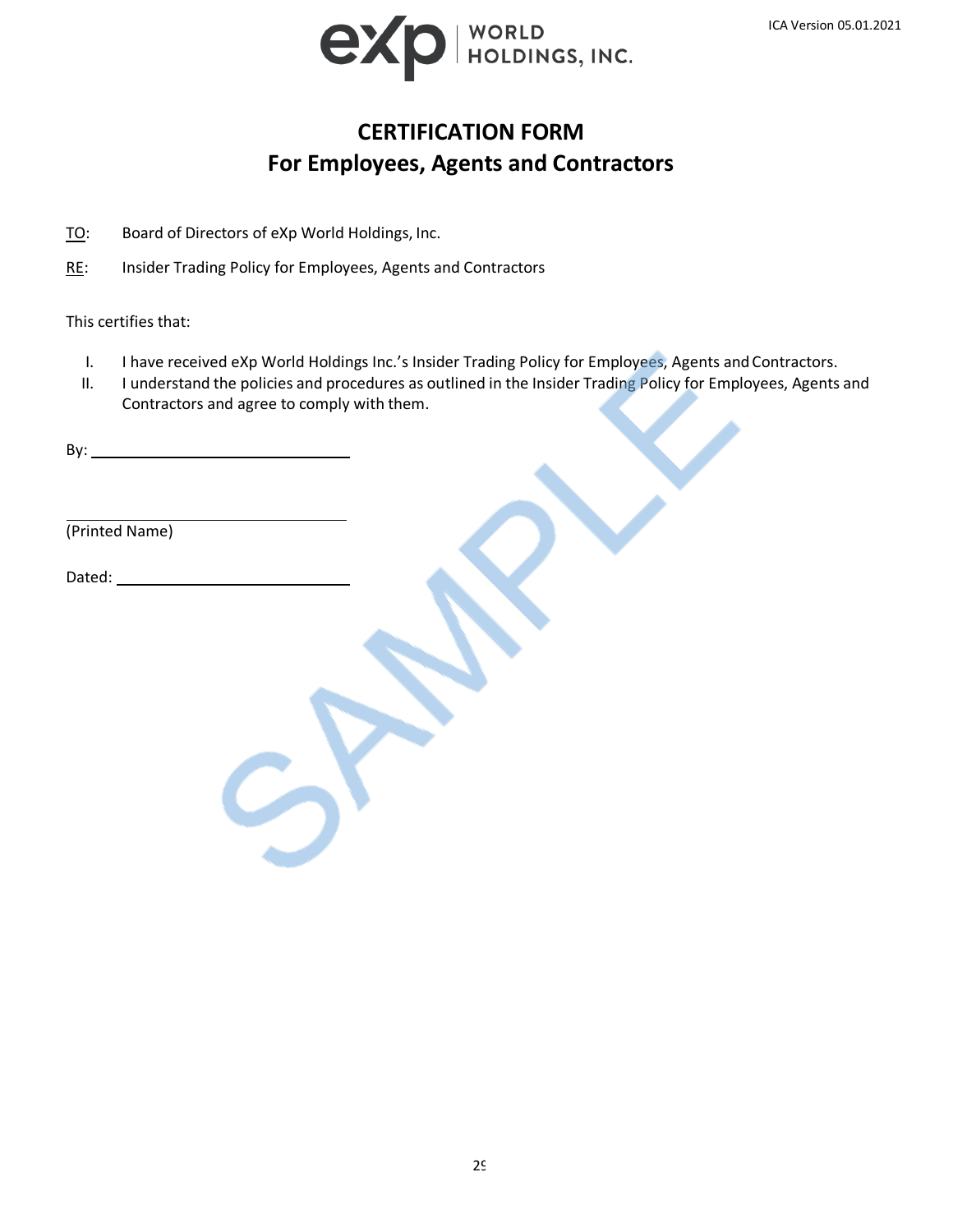

# **CERTIFICATION FORM For Employees, Agents and Contractors**

TO: Board of Directors of eXp World Holdings, Inc.

RE: Insider Trading Policy for Employees, Agents and Contractors

This certifies that:

- I. I have received eXp World Holdings Inc.'s Insider Trading Policy for Employees, Agents and Contractors.
- II. I understand the policies and procedures as outlined in the Insider Trading Policy for Employees, Agents and Contractors and agree to comply with them.

By:

(Printed Name)

Dated: